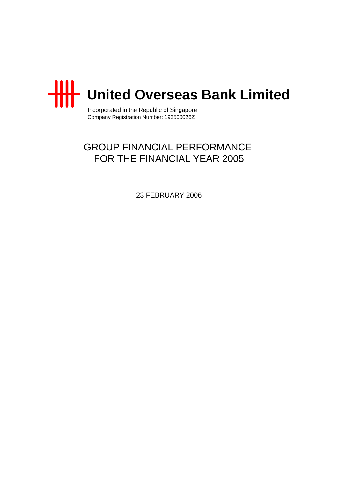

Incorporated in the Republic of Singapore Company Registration Number: 193500026Z

# GROUP FINANCIAL PERFORMANCE FOR THE FINANCIAL YEAR 2005

23 FEBRUARY 2006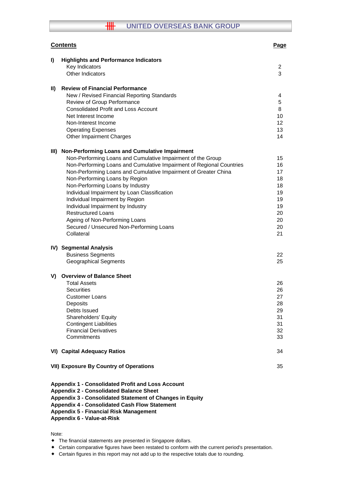# **THE UNITED OVERSEAS BANK GROUP**

|               | <b>Contents</b>                                                      | Page     |
|---------------|----------------------------------------------------------------------|----------|
| I)            | <b>Highlights and Performance Indicators</b>                         |          |
|               | Key Indicators                                                       | 2        |
|               | Other Indicators                                                     | 3        |
| $\mathbf{II}$ | <b>Review of Financial Performance</b>                               |          |
|               | New / Revised Financial Reporting Standards                          | 4        |
|               | Review of Group Performance                                          | 5        |
|               | <b>Consolidated Profit and Loss Account</b>                          | 8        |
|               | Net Interest Income                                                  | 10       |
|               | Non-Interest Income                                                  | 12       |
|               | <b>Operating Expenses</b>                                            | 13       |
|               | <b>Other Impairment Charges</b>                                      | 14       |
| III)          | Non-Performing Loans and Cumulative Impairment                       |          |
|               | Non-Performing Loans and Cumulative Impairment of the Group          | 15       |
|               | Non-Performing Loans and Cumulative Impairment of Regional Countries | 16       |
|               | Non-Performing Loans and Cumulative Impairment of Greater China      | 17       |
|               | Non-Performing Loans by Region                                       | 18       |
|               | Non-Performing Loans by Industry                                     | 18       |
|               | Individual Impairment by Loan Classification                         | 19       |
|               | Individual Impairment by Region                                      | 19       |
|               | Individual Impairment by Industry                                    | 19       |
|               | <b>Restructured Loans</b>                                            | 20       |
|               | Ageing of Non-Performing Loans                                       | 20       |
|               | Secured / Unsecured Non-Performing Loans                             | 20       |
|               | Collateral                                                           | 21       |
|               | IV) Segmental Analysis                                               |          |
|               | <b>Business Segments</b>                                             | 22       |
|               | <b>Geographical Segments</b>                                         | 25       |
| V)            | <b>Overview of Balance Sheet</b>                                     |          |
|               | <b>Total Assets</b>                                                  | 26       |
|               | <b>Securities</b>                                                    | 26       |
|               | <b>Customer Loans</b>                                                | 27       |
|               | Deposits                                                             | 28       |
|               | Debts Issued                                                         | 29       |
|               | Shareholders' Equity                                                 | 31       |
|               | <b>Contingent Liabilities</b>                                        | 31       |
|               | <b>Financial Derivatives</b><br>Commitments                          | 32<br>33 |
|               |                                                                      |          |
|               | <b>VI) Capital Adequacy Ratios</b>                                   | 34       |
|               | <b>VII) Exposure By Country of Operations</b>                        | 35       |
|               | Appendix 1 - Consolidated Profit and Loss Account                    |          |
|               | <b>Appendix 2 - Consolidated Balance Sheet</b>                       |          |

**Appendix 3 - Consolidated Statement of Changes in Equity**

**Appendix 4 - Consolidated Cash Flow Statement**

# **Appendix 5 - Financial Risk Management**

#### **Appendix 6 - Value-at-Risk**

Note:

- The financial statements are presented in Singapore dollars.
- Certain comparative figures have been restated to conform with the current period's presentation.
- Certain figures in this report may not add up to the respective totals due to rounding.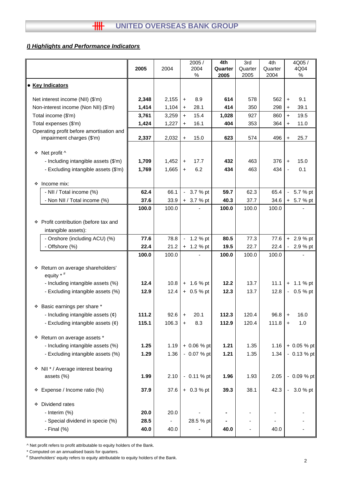# *I) Highlights and Performance Indicators*

|                                                                       | 2005  | 2004           |           | 2005/<br>2004<br>% | 4th<br>Quarter<br>2005 | 3rd<br>Quarter<br>2005 | 4th<br>Quarter<br>2004 |                | 4Q05/<br>4Q04<br>% |
|-----------------------------------------------------------------------|-------|----------------|-----------|--------------------|------------------------|------------------------|------------------------|----------------|--------------------|
| • Key Indicators                                                      |       |                |           |                    |                        |                        |                        |                |                    |
| Net interest income (NII) (\$'m)                                      | 2,348 | 2,155          | $\ddot{}$ | 8.9                | 614                    | 578                    | 562                    | $\ddot{}$      | 9.1                |
| Non-interest income (Non NII) (\$'m)                                  | 1,414 | 1,104          | $\ddot{}$ | 28.1               | 414                    | 350                    | 298                    | $\ddot{}$      | 39.1               |
| Total income (\$'m)                                                   | 3,761 | 3,259          | $+$       | 15.4               | 1,028                  | 927                    | 860                    | $+$            | 19.5               |
| Total expenses (\$'m)                                                 | 1,424 | 1,227          | $\ddot{}$ | 16.1               | 404                    | 353                    | 364                    | $\ddot{}$      | 11.0               |
| Operating profit before amortisation and<br>impairment charges (\$'m) | 2,337 | 2,032          | $\ddot{}$ | 15.0               | 623                    | 574                    | 496                    | $\ddot{}$      | 25.7               |
| ❖ Net profit ^                                                        |       |                |           |                    |                        |                        |                        |                |                    |
| - Including intangible assets (\$'m)                                  | 1,709 | 1,452          | $\ddot{}$ | 17.7               | 432                    | 463                    | 376                    | $\ddot{}$      | 15.0               |
| - Excluding intangible assets (\$'m)                                  | 1,769 | 1,665          | $+$       | 6.2                | 434                    | 463                    | 434                    | ÷,             | 0.1                |
| ❖<br>Income mix:                                                      |       |                |           |                    |                        |                        |                        |                |                    |
| - NII / Total income (%)                                              | 62.4  | 66.1           |           | $-3.7%$ pt         | 59.7                   | 62.3                   | 65.4                   | $\blacksquare$ | 5.7 % pt           |
| - Non NII / Total income (%)                                          | 37.6  | 33.9           |           | + 3.7 % pt         | 40.3                   | 37.7                   | 34.6                   |                | + 5.7 % pt         |
|                                                                       | 100.0 | 100.0          |           |                    | 100.0                  | 100.0                  | 100.0                  |                |                    |
| ❖ Profit contribution (before tax and                                 |       |                |           |                    |                        |                        |                        |                |                    |
| intangible assets):<br>- Onshore (including ACU) (%)                  | 77.6  | 78.8           |           | 1.2 % pt           | 80.5                   | 77.3                   | 77.6                   |                | $+ 2.9 %$ pt       |
| - Offshore (%)                                                        | 22.4  | 21.2           |           | $+ 1.2 %$ pt       | 19.5                   | 22.7                   | 22.4                   |                | 2.9 % pt           |
|                                                                       | 100.0 | 100.0          |           |                    | 100.0                  | 100.0                  | 100.0                  |                |                    |
| Return on average shareholders'<br>÷.                                 |       |                |           |                    |                        |                        |                        |                |                    |
| equity $*$ $*$                                                        |       |                |           |                    |                        |                        |                        |                |                    |
| - Including intangible assets (%)                                     | 12.4  | 10.8           |           | $+ 1.6 %$ pt       | 12.2                   | 13.7                   | 11.1                   |                | $+ 1.1 %$ pt       |
| - Excluding intangible assets (%)                                     | 12.9  | 12.4           |           | $+ 0.5 %$ pt       | 12.3                   | 13.7                   | 12.8                   |                | $-0.5 %$ pt        |
| * Basic earnings per share *                                          |       |                |           |                    |                        |                        |                        |                |                    |
| - Including intangible assets $(\phi)$                                | 111.2 | 92.6           | $\ddot{}$ | 20.1               | 112.3                  | 120.4                  | 96.8                   | +              | 16.0               |
| - Excluding intangible assets $(\phi)$                                | 115.1 | 106.3          | $+$       | 8.3                | 112.9                  | 120.4                  | 111.8                  | $\ddot{}$      | 1.0                |
| * Return on average assets *                                          |       |                |           |                    |                        |                        |                        |                |                    |
| - Including intangible assets (%)                                     | 1.25  | 1.19           |           | $+0.06%$ pt        | 1.21                   | 1.35                   | 1.16                   |                | + 0.05 % pt        |
| - Excluding intangible assets (%)                                     | 1.29  | 1.36           |           | $-0.07%$ pt        | 1.21                   | 1.35                   | 1.34                   |                | $-0.13 \%$ pt      |
| * NII * / Average interest bearing                                    |       |                |           |                    |                        |                        |                        |                |                    |
| assets (%)                                                            | 1.99  | 2.10           |           | $-0.11 \%$ pt      | 1.96                   | 1.93                   | 2.05                   |                | $-0.09%$ pt        |
| Expense / Income ratio (%)<br>❖                                       | 37.9  | 37.6           |           | $+ 0.3 %$ pt       | 39.3                   | 38.1                   | 42.3                   |                | $-3.0%$ pt         |
| Dividend rates<br>❖                                                   |       |                |           |                    |                        |                        |                        |                |                    |
| - Interim (%)                                                         | 20.0  | 20.0           |           |                    |                        |                        |                        |                |                    |
| - Special dividend in specie (%)                                      | 28.5  | $\blacksquare$ |           | 28.5 % pt          |                        |                        |                        |                |                    |
| - Final $(\%)$                                                        | 40.0  | 40.0           |           |                    | 40.0                   |                        | 40.0                   |                |                    |

^ Net profit refers to profit attributable to equity holders of the Bank.

\* Computed on an annualised basis for quarters.

# Shareholders' equity refers to equity attributable to equity holders of the Bank.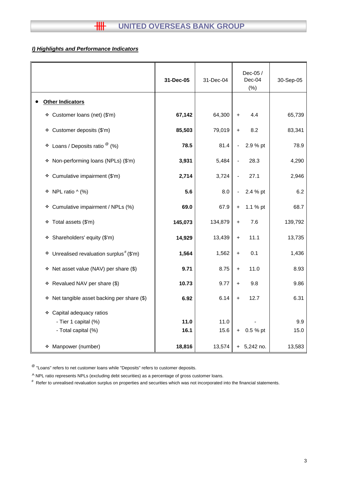# **HH UNITED OVERSEAS BANK GROUP**

# *I) Highlights and Performance Indicators*

|                                                        | 31-Dec-05 | 31-Dec-04 | Dec-05 /<br>Dec-04<br>(% ) | 30-Sep-05 |
|--------------------------------------------------------|-----------|-----------|----------------------------|-----------|
| <b>Other Indicators</b>                                |           |           |                            |           |
| Customer loans (net) (\$'m)<br>❖                       | 67,142    | 64,300    | 4.4<br>$\ddot{}$           | 65,739    |
| Customer deposits (\$'m)<br>۰                          | 85,503    | 79,019    | 8.2<br>$+$                 | 83,341    |
| Loans / Deposits ratio $^{\circledR}$ (%)<br>٠         | 78.5      | 81.4      | 2.9 % pt<br>$\blacksquare$ | 78.9      |
| * Non-performing loans (NPLs) (\$'m)                   | 3,931     | 5,484     | 28.3                       | 4,290     |
| Cumulative impairment (\$'m)<br>۰                      | 2,714     | 3,724     | 27.1                       | 2,946     |
| NPL ratio $\wedge$ (%)<br>۰                            | 5.6       | 8.0       | 2.4 % pt<br>$\blacksquare$ | 6.2       |
| Cumulative impairment / NPLs (%)<br>❖                  | 69.0      | 67.9      | 1.1 % pt<br>$+$            | 68.7      |
| Total assets (\$'m)<br>٠                               | 145,073   | 134,879   | 7.6<br>$\ddot{}$           | 139,792   |
| * Shareholders' equity (\$'m)                          | 14,929    | 13,439    | 11.1<br>$\ddagger$         | 13,735    |
| $*$ Unrealised revaluation surplus <sup>#</sup> (\$'m) | 1,564     | 1,562     | 0.1<br>$\ddag$             | 1,436     |
| * Net asset value (NAV) per share (\$)                 | 9.71      | 8.75      | 11.0<br>$+$                | 8.93      |
| * Revalued NAV per share (\$)                          | 10.73     | 9.77      | 9.8<br>$\ddot{}$           | 9.86      |
| Net tangible asset backing per share (\$)<br>❖         | 6.92      | 6.14      | 12.7<br>$\ddot{}$          | 6.31      |
| Capital adequacy ratios<br>❖                           |           |           |                            |           |
| - Tier 1 capital (%)                                   | 11.0      | 11.0      |                            | 9.9       |
| - Total capital (%)                                    | 16.1      | 15.6      | 0.5 % pt<br>$+$            | 15.0      |
|                                                        |           |           |                            |           |
| Manpower (number)<br>❖                                 | 18,816    | 13,574    | $+ 5,242$ no.              | 13,583    |

 $^{\circledR}$  "Loans" refers to net customer loans while "Deposits" refers to customer deposits.

^ NPL ratio represents NPLs (excluding debt securities) as a percentage of gross customer loans.

# Refer to unrealised revaluation surplus on properties and securities which was not incorporated into the financial statements.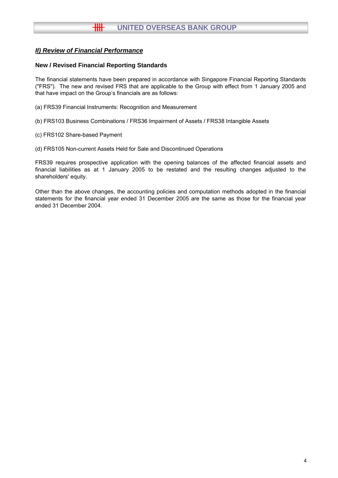# **New / Revised Financial Reporting Standards**

The financial statements have been prepared in accordance with Singapore Financial Reporting Standards ("FRS"). The new and revised FRS that are applicable to the Group with effect from 1 January 2005 and that have impact on the Group's financials are as follows:

- (a) FRS39 Financial Instruments: Recognition and Measurement
- (b) FRS103 Business Combinations / FRS36 Impairment of Assets / FRS38 Intangible Assets
- (c) FRS102 Share-based Payment
- (d) FRS105 Non-current Assets Held for Sale and Discontinued Operations

FRS39 requires prospective application with the opening balances of the affected financial assets and financial liabilities as at 1 January 2005 to be restated and the resulting changes adjusted to the shareholders' equity.

Other than the above changes, the accounting policies and computation methods adopted in the financial statements for the financial year ended 31 December 2005 are the same as those for the financial year ended 31 December 2004.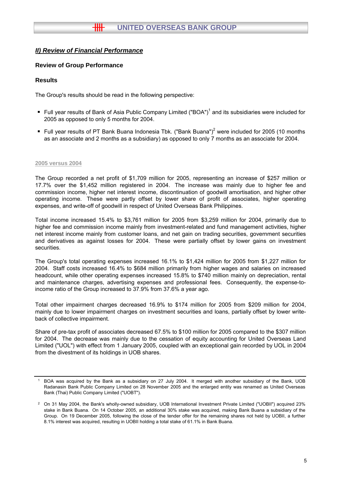# **Review of Group Performance**

## **Results**

The Group's results should be read in the following perspective:

- Full year results of Bank of Asia Public Company Limited ("BOA")<sup>1</sup> and its subsidiaries were included for 2005 as opposed to only 5 months for 2004.
- Full year results of PT Bank Buana Indonesia Tbk. ("Bank Buana")<sup>2</sup> were included for 2005 (10 months as an associate and 2 months as a subsidiary) as opposed to only 7 months as an associate for 2004.

#### **2005 versus 2004**

The Group recorded a net profit of \$1,709 million for 2005, representing an increase of \$257 million or 17.7% over the \$1,452 million registered in 2004. The increase was mainly due to higher fee and commission income, higher net interest income, discontinuation of goodwill amortisation, and higher other operating income. These were partly offset by lower share of profit of associates, higher operating expenses, and write-off of goodwill in respect of United Overseas Bank Philippines.

Total income increased 15.4% to \$3,761 million for 2005 from \$3,259 million for 2004, primarily due to higher fee and commission income mainly from investment-related and fund management activities, higher net interest income mainly from customer loans, and net gain on trading securities, government securities and derivatives as against losses for 2004. These were partially offset by lower gains on investment securities.

The Group's total operating expenses increased 16.1% to \$1,424 million for 2005 from \$1,227 million for 2004. Staff costs increased 16.4% to \$684 million primarily from higher wages and salaries on increased headcount, while other operating expenses increased 15.8% to \$740 million mainly on depreciation, rental and maintenance charges, advertising expenses and professional fees. Consequently, the expense-toincome ratio of the Group increased to 37.9% from 37.6% a year ago.

Total other impairment charges decreased 16.9% to \$174 million for 2005 from \$209 million for 2004, mainly due to lower impairment charges on investment securities and loans, partially offset by lower writeback of collective impairment.

Share of pre-tax profit of associates decreased 67.5% to \$100 million for 2005 compared to the \$307 million for 2004. The decrease was mainly due to the cessation of equity accounting for United Overseas Land Limited ("UOL") with effect from 1 January 2005, coupled with an exceptional gain recorded by UOL in 2004 from the divestment of its holdings in UOB shares.

<sup>1</sup> BOA was acquired by the Bank as a subsidiary on 27 July 2004. It merged with another subsidiary of the Bank, UOB Radanasin Bank Public Company Limited on 28 November 2005 and the enlarged entity was renamed as United Overseas Bank (Thai) Public Company Limited ("UOBT").

<sup>2</sup> On 31 May 2004, the Bank's wholly-owned subsidiary, UOB International Investment Private Limited ("UOBII") acquired 23% stake in Bank Buana. On 14 October 2005, an additional 30% stake was acquired, making Bank Buana a subsidiary of the Group. On 19 December 2005, following the close of the tender offer for the remaining shares not held by UOBII, a further 8.1% interest was acquired, resulting in UOBII holding a total stake of 61.1% in Bank Buana.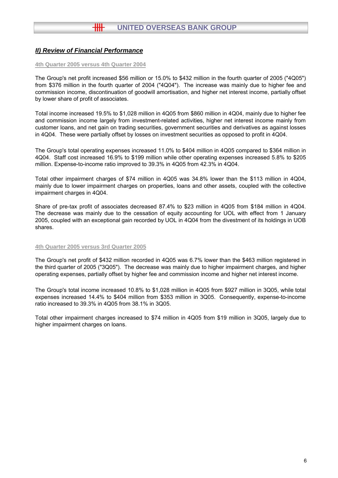#### **4th Quarter 2005 versus 4th Quarter 2004**

The Group's net profit increased \$56 million or 15.0% to \$432 million in the fourth quarter of 2005 ("4Q05") from \$376 million in the fourth quarter of 2004 ("4Q04"). The increase was mainly due to higher fee and commission income, discontinuation of goodwill amortisation, and higher net interest income, partially offset by lower share of profit of associates.

Total income increased 19.5% to \$1,028 million in 4Q05 from \$860 million in 4Q04, mainly due to higher fee and commission income largely from investment-related activities, higher net interest income mainly from customer loans, and net gain on trading securities, government securities and derivatives as against losses in 4Q04. These were partially offset by losses on investment securities as opposed to profit in 4Q04.

The Group's total operating expenses increased 11.0% to \$404 million in 4Q05 compared to \$364 million in 4Q04. Staff cost increased 16.9% to \$199 million while other operating expenses increased 5.8% to \$205 million. Expense-to-income ratio improved to 39.3% in 4Q05 from 42.3% in 4Q04.

Total other impairment charges of \$74 million in 4Q05 was 34.8% lower than the \$113 million in 4Q04, mainly due to lower impairment charges on properties, loans and other assets, coupled with the collective impairment charges in 4Q04.

Share of pre-tax profit of associates decreased 87.4% to \$23 million in 4Q05 from \$184 million in 4Q04. The decrease was mainly due to the cessation of equity accounting for UOL with effect from 1 January 2005, coupled with an exceptional gain recorded by UOL in 4Q04 from the divestment of its holdings in UOB shares.

#### **4th Quarter 2005 versus 3rd Quarter 2005**

The Group's net profit of \$432 million recorded in 4Q05 was 6.7% lower than the \$463 million registered in the third quarter of 2005 ("3Q05"). The decrease was mainly due to higher impairment charges, and higher operating expenses, partially offset by higher fee and commission income and higher net interest income.

The Group's total income increased 10.8% to \$1,028 million in 4Q05 from \$927 million in 3Q05, while total expenses increased 14.4% to \$404 million from \$353 million in 3Q05. Consequently, expense-to-income ratio increased to 39.3% in 4Q05 from 38.1% in 3Q05.

Total other impairment charges increased to \$74 million in 4Q05 from \$19 million in 3Q05, largely due to higher impairment charges on loans.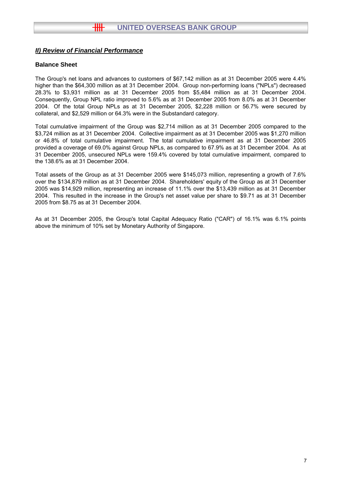# **Balance Sheet**

The Group's net loans and advances to customers of \$67,142 million as at 31 December 2005 were 4.4% higher than the \$64,300 million as at 31 December 2004. Group non-performing loans ("NPLs") decreased 28.3% to \$3,931 million as at 31 December 2005 from \$5,484 million as at 31 December 2004. Consequently, Group NPL ratio improved to 5.6% as at 31 December 2005 from 8.0% as at 31 December 2004. Of the total Group NPLs as at 31 December 2005, \$2,228 million or 56.7% were secured by collateral, and \$2,529 million or 64.3% were in the Substandard category.

Total cumulative impairment of the Group was \$2,714 million as at 31 December 2005 compared to the \$3,724 million as at 31 December 2004. Collective impairment as at 31 December 2005 was \$1,270 million or 46.8% of total cumulative impairment. The total cumulative impairment as at 31 December 2005 provided a coverage of 69.0% against Group NPLs, as compared to 67.9% as at 31 December 2004. As at 31 December 2005, unsecured NPLs were 159.4% covered by total cumulative impairment, compared to the 138.6% as at 31 December 2004.

Total assets of the Group as at 31 December 2005 were \$145,073 million, representing a growth of 7.6% over the \$134,879 million as at 31 December 2004. Shareholders' equity of the Group as at 31 December 2005 was \$14,929 million, representing an increase of 11.1% over the \$13,439 million as at 31 December 2004. This resulted in the increase in the Group's net asset value per share to \$9.71 as at 31 December 2005 from \$8.75 as at 31 December 2004.

As at 31 December 2005, the Group's total Capital Adequacy Ratio ("CAR") of 16.1% was 6.1% points above the minimum of 10% set by Monetary Authority of Singapore.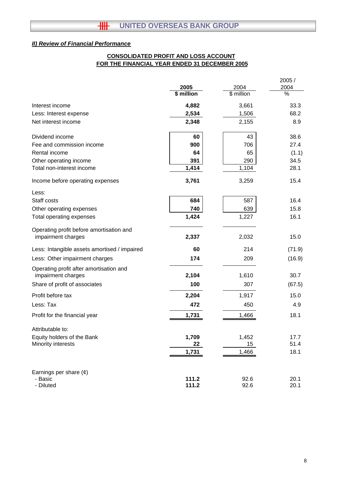# **FOR THE FINANCIAL YEAR ENDED 31 DECEMBER 2005 CONSOLIDATED PROFIT AND LOSS ACCOUNT**

|                                                                |            |            | 2005 /        |
|----------------------------------------------------------------|------------|------------|---------------|
|                                                                | 2005       | 2004       | 2004          |
|                                                                | \$ million | \$ million | $\frac{0}{6}$ |
| Interest income                                                | 4,882      | 3,661      | 33.3          |
| Less: Interest expense                                         | 2,534      | 1,506      | 68.2          |
| Net interest income                                            | 2,348      | 2,155      | 8.9           |
| Dividend income                                                | 60         | 43         | 38.6          |
| Fee and commission income                                      | 900        | 706        | 27.4          |
| Rental income                                                  | 64         | 65         | (1.1)         |
| Other operating income                                         | 391        | 290        | 34.5          |
| Total non-interest income                                      | 1,414      | 1,104      | 28.1          |
| Income before operating expenses                               | 3,761      | 3,259      | 15.4          |
| Less:                                                          |            |            |               |
| Staff costs                                                    | 684        | 587        | 16.4          |
| Other operating expenses                                       | 740        | 639        | 15.8          |
| Total operating expenses                                       | 1,424      | 1,227      | 16.1          |
| Operating profit before amortisation and<br>impairment charges | 2,337      | 2,032      | 15.0          |
| Less: Intangible assets amortised / impaired                   | 60         | 214        | (71.9)        |
| Less: Other impairment charges                                 | 174        | 209        | (16.9)        |
| Operating profit after amortisation and<br>impairment charges  | 2,104      | 1,610      | 30.7          |
| Share of profit of associates                                  | 100        | 307        | (67.5)        |
| Profit before tax                                              | 2,204      | 1,917      | 15.0          |
| Less: Tax                                                      | 472        | 450        | 4.9           |
| Profit for the financial year                                  | 1,731      | 1,466      | 18.1          |
| Attributable to:                                               |            |            |               |
| Equity holders of the Bank                                     | 1,709      | 1,452      | 17.7          |
| Minority interests                                             | 22         | 15         | 51.4          |
|                                                                | 1,731      | 1,466      | 18.1          |
| Earnings per share $(e)$                                       |            |            |               |
| - Basic                                                        | 111.2      | 92.6       | 20.1          |
| - Diluted                                                      | 111.2      | 92.6       | 20.1          |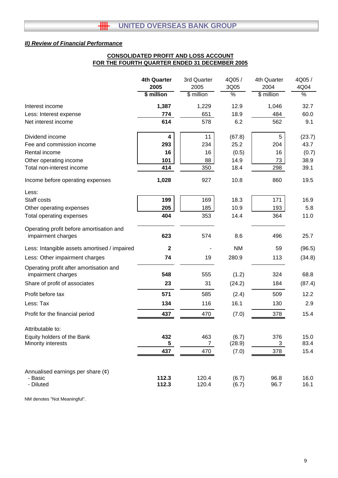# **CONSOLIDATED PROFIT AND LOSS ACCOUNT FOR THE FOURTH QUARTER ENDED 31 DECEMBER 2005**

|                                                                | <b>4th Quarter</b>      | 3rd Quarter    | 4Q05/          | 4th Quarter  | 4Q05/        |
|----------------------------------------------------------------|-------------------------|----------------|----------------|--------------|--------------|
|                                                                | 2005                    | 2005           | 3Q05           | 2004         | 4Q04         |
|                                                                | \$ million              | \$ million     | %              | \$ million   | $\%$         |
| Interest income                                                | 1,387                   | 1,229          | 12.9           | 1,046        | 32.7         |
| Less: Interest expense                                         | 774                     | 651            | 18.9           | 484          | 60.0         |
| Net interest income                                            | 614                     | 578            | 6.2            | 562          | 9.1          |
| Dividend income                                                | 4                       | 11             | (67.8)         | 5            | (23.7)       |
| Fee and commission income                                      | 293                     | 234            | 25.2           | 204          | 43.7         |
| Rental income                                                  | 16                      | 16             | (0.5)          | 16           | (0.7)        |
| Other operating income                                         | 101                     | 88             | 14.9           | 73           | 38.9         |
| Total non-interest income                                      | 414                     | 350            | 18.4           | 298          | 39.1         |
| Income before operating expenses                               | 1,028                   | 927            | 10.8           | 860          | 19.5         |
| Less:                                                          |                         |                |                |              |              |
| Staff costs                                                    | 199                     | 169            | 18.3           | 171          | 16.9         |
| Other operating expenses                                       | 205                     | 185            | 10.9           | 193          | 5.8          |
| <b>Total operating expenses</b>                                | 404                     | 353            | 14.4           | 364          | 11.0         |
| Operating profit before amortisation and<br>impairment charges | 623                     | 574            | 8.6            | 496          | 25.7         |
| Less: Intangible assets amortised / impaired                   | $\mathbf{2}$            |                | <b>NM</b>      | 59           | (96.5)       |
| Less: Other impairment charges                                 | 74                      | 19             | 280.9          | 113          | (34.8)       |
| Operating profit after amortisation and<br>impairment charges  | 548                     | 555            | (1.2)          | 324          | 68.8         |
| Share of profit of associates                                  | 23                      | 31             | (24.2)         | 184          | (87.4)       |
| Profit before tax                                              | 571                     | 585            | (2.4)          | 509          | 12.2         |
| Less: Tax                                                      | 134                     | 116            | 16.1           | 130          | 2.9          |
| Profit for the financial period                                | 437                     | 470            | (7.0)          | 378          | 15.4         |
| Attributable to:                                               |                         |                |                |              |              |
| Equity holders of the Bank                                     | 432                     | 463            | (6.7)          | 376          | 15.0         |
| Minority interests                                             | $\overline{\mathbf{5}}$ | $\overline{7}$ | (28.9)         | 3            | 83.4         |
|                                                                | 437                     | 470            | (7.0)          | 378          | 15.4         |
| Annualised earnings per share $(\phi)$<br>- Basic<br>- Diluted | 112.3<br>112.3          | 120.4<br>120.4 | (6.7)<br>(6.7) | 96.8<br>96.7 | 16.0<br>16.1 |

NM denotes "Not Meaningful".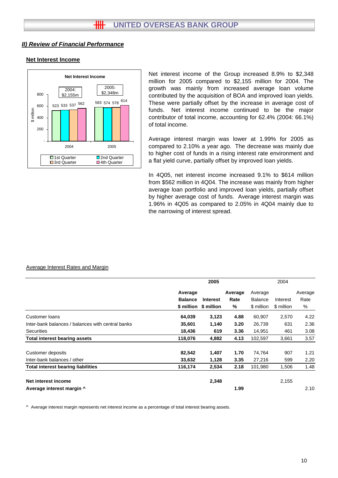## **Net Interest Income**



Net interest income of the Group increased 8.9% to \$2,348 million for 2005 compared to \$2,155 million for 2004. The growth was mainly from increased average loan volume contributed by the acquisition of BOA and improved loan yields. These were partially offset by the increase in average cost of funds. Net interest income continued to be the major contributor of total income, accounting for 62.4% (2004: 66.1%) of total income.

Average interest margin was lower at 1.99% for 2005 as compared to 2.10% a year ago. The decrease was mainly due to higher cost of funds in a rising interest rate environment and a flat yield curve, partially offset by improved loan yields.

In 4Q05, net interest income increased 9.1% to \$614 million from \$562 million in 4Q04. The increase was mainly from higher average loan portfolio and improved loan yields, partially offset by higher average cost of funds. Average interest margin was 1.96% in 4Q05 as compared to 2.05% in 4Q04 mainly due to the narrowing of interest spread.

#### Average Interest Rates and Margin

|                                                   | 2005                      |                                          |                      |                                         |                        |                      |
|---------------------------------------------------|---------------------------|------------------------------------------|----------------------|-----------------------------------------|------------------------|----------------------|
|                                                   | Average<br><b>Balance</b> | <b>Interest</b><br>\$ million \$ million | Average<br>Rate<br>% | Average<br><b>Balance</b><br>\$ million | Interest<br>\$ million | Average<br>Rate<br>% |
|                                                   |                           |                                          |                      |                                         |                        |                      |
| Customer loans                                    | 64,039                    | 3,123                                    | 4.88                 | 60,907                                  | 2,570                  | 4.22                 |
| Inter-bank balances / balances with central banks | 35,601                    | 1,140                                    | 3.20                 | 26,739                                  | 631                    | 2.36                 |
| <b>Securities</b>                                 | 18,436                    | 619                                      | 3.36                 | 14,951                                  | 461                    | 3.08                 |
| <b>Total interest bearing assets</b>              | 118,076                   | 4,882                                    | 4.13                 | 102,597                                 | 3,661                  | 3.57                 |
| Customer deposits                                 | 82,542                    | 1,407                                    | 1.70                 | 74,764                                  | 907                    | 1.21                 |
| Inter-bank balances / other                       | 33,632                    | 1,128                                    | 3.35                 | 27,216                                  | 599                    | 2.20                 |
| <b>Total interest bearing liabilities</b>         | 116,174                   | 2,534                                    | 2.18                 | 101,980                                 | 1,506                  | 1.48                 |
| Net interest income                               |                           | 2,348                                    |                      |                                         | 2,155                  |                      |
| Average interest margin ^                         |                           |                                          | 1.99                 |                                         |                        | 2.10                 |

^ Average interest margin represents net interest income as a percentage of total interest bearing assets.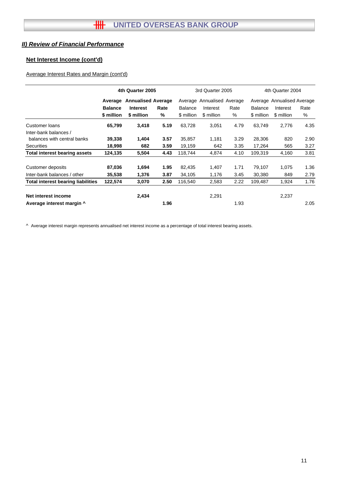# **Net Interest Income (cont'd)**

# Average Interest Rates and Margin (cont'd)

|                                      | 4th Quarter 2005 |                           |      |                | 3rd Quarter 2005           |      |                | 4th Quarter 2004           |      |  |  |
|--------------------------------------|------------------|---------------------------|------|----------------|----------------------------|------|----------------|----------------------------|------|--|--|
|                                      | Average          | <b>Annualised Average</b> |      |                | Average Annualised Average |      |                | Average Annualised Average |      |  |  |
|                                      | <b>Balance</b>   | <b>Interest</b>           | Rate | <b>Balance</b> | Interest                   | Rate | <b>Balance</b> | Interest                   | Rate |  |  |
|                                      | \$ million       | \$ million                | %    | \$ million     | \$ million                 | %    | \$ million     | \$ million                 | %    |  |  |
| Customer loans                       | 65,799           | 3,418                     | 5.19 | 63,728         | 3,051                      | 4.79 | 63,749         | 2,776                      | 4.35 |  |  |
| Inter-bank balances /                |                  |                           |      |                |                            |      |                |                            |      |  |  |
| balances with central banks          | 39,338           | 1,404                     | 3.57 | 35,857         | 1,181                      | 3.29 | 28,306         | 820                        | 2.90 |  |  |
| <b>Securities</b>                    | 18,998           | 682                       | 3.59 | 19,159         | 642                        | 3.35 | 17,264         | 565                        | 3.27 |  |  |
| <b>Total interest bearing assets</b> | 124,135          | 5,504                     | 4.43 | 118,744        | 4,874                      | 4.10 | 109,319        | 4,160                      | 3.81 |  |  |
| Customer deposits                    | 87,036           | 1,694                     | 1.95 | 82,435         | 1,407                      | 1.71 | 79,107         | 1,075                      | 1.36 |  |  |
| Inter-bank balances / other          | 35,538           | 1,376                     | 3.87 | 34,105         | 1,176                      | 3.45 | 30,380         | 849                        | 2.79 |  |  |
| Total interest bearing liabilities   | 122,574          | 3,070                     | 2.50 | 116,540        | 2,583                      | 2.22 | 109,487        | 1,924                      | 1.76 |  |  |
| Net interest income                  |                  | 2,434                     |      |                | 2,291                      |      |                | 2,237                      |      |  |  |
| Average interest margin ^            |                  |                           | 1.96 |                |                            | 1.93 |                |                            | 2.05 |  |  |

^ Average interest margin represents annualised net interest income as a percentage of total interest bearing assets.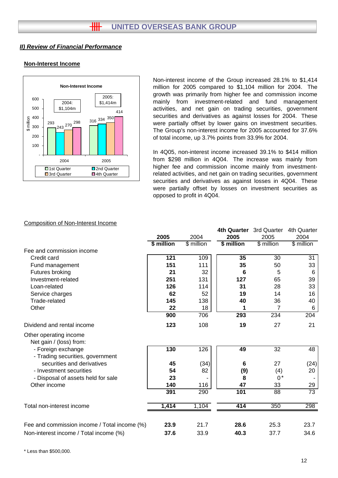# **Non-Interest Income**



Non-interest income of the Group increased 28.1% to \$1,414 million for 2005 compared to \$1,104 million for 2004. The growth was primarily from higher fee and commission income mainly from investment-related and fund management activities, and net gain on trading securities, government securities and derivatives as against losses for 2004. These were partially offset by lower gains on investment securities. The Group's non-interest income for 2005 accounted for 37.6% of total income, up 3.7% points from 33.9% for 2004.

In 4Q05, non-interest income increased 39.1% to \$414 million from \$298 million in 4Q04. The increase was mainly from higher fee and commission income mainly from investmentrelated activities, and net gain on trading securities, government securities and derivatives as against losses in 4Q04. These were partially offset by losses on investment securities as opposed to profit in 4Q04.

**4th Quarter** 3rd Quarter 4th Quarter

#### Composition of Non-Interest Income

|                                                        |            |                     | 4th Quarter | sra Quarter         | 4th Quarter |
|--------------------------------------------------------|------------|---------------------|-------------|---------------------|-------------|
|                                                        | 2005       | 2004                | 2005        | 2005                | 2004        |
|                                                        | \$ million | $\sqrt{\$}$ million | \$ million  | $\sqrt{\$}$ million | \$ million  |
| Fee and commission income                              |            |                     |             |                     |             |
| Credit card                                            | 121        | 109                 | 35          | 30                  | 31          |
| Fund management                                        | 151        | 111                 | 35          | 50                  | 33          |
| Futures broking                                        | 21         | 32                  | 6           | 5                   | 6           |
| Investment-related                                     | 251        | 131                 | 127         | 65                  | 39          |
| Loan-related                                           | 126        | 114                 | 31          | 28                  | 33          |
| Service charges                                        | 62         | 52                  | 19          | 14                  | 16          |
| Trade-related                                          | 145        | 138                 | 40          | 36                  | 40          |
| Other                                                  | 22         | 18                  | 1           | 7                   | 6           |
|                                                        | 900        | 706                 | 293         | 234                 | 204         |
| Dividend and rental income                             | 123        | 108                 | 19          | 27                  | 21          |
| Other operating income<br>Net gain / (loss) from:      |            |                     |             |                     |             |
| - Foreign exchange<br>- Trading securities, government | 130        | 126                 | 49          | 32                  | 48          |
| securities and derivatives                             | 45         | (34)                | 6           | 27                  | (24)        |
| - Investment securities                                | 54         | 82                  | (9)         | (4)                 | 20          |
| - Disposal of assets held for sale                     | 23         |                     | 8           | $0^*$               |             |
| Other income                                           | 140        | 116                 | 47          | 33                  | 29          |
|                                                        | 391        | 290                 | 101         | 88                  | 73          |
| Total non-interest income                              | 1,414      | 1,104               | 414         | 350                 | 298         |
|                                                        |            |                     |             |                     |             |
| Fee and commission income / Total income (%)           | 23.9       | 21.7                | 28.6        | 25.3                | 23.7        |
| Non-interest income / Total income (%)                 | 37.6       | 33.9                | 40.3        | 37.7                | 34.6        |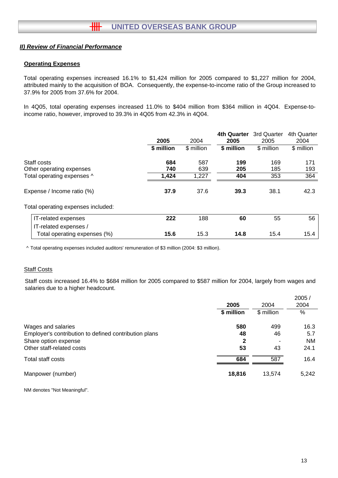# **Operating Expenses**

Total operating expenses increased 16.1% to \$1,424 million for 2005 compared to \$1,227 million for 2004, attributed mainly to the acquisition of BOA. Consequently, the expense-to-income ratio of the Group increased to 37.9% for 2005 from 37.6% for 2004.

In 4Q05, total operating expenses increased 11.0% to \$404 million from \$364 million in 4Q04. Expense-toincome ratio, however, improved to 39.3% in 4Q05 from 42.3% in 4Q04.

|                                              | 2005       | 2004       | <b>4th Quarter</b><br>2005 | 3rd Quarter<br>2005 | 4th Quarter<br>2004 |
|----------------------------------------------|------------|------------|----------------------------|---------------------|---------------------|
|                                              | \$ million | \$ million | \$ million                 | \$ million          | \$ million          |
| Staff costs<br>Other operating expenses      | 684<br>740 | 587<br>639 | 199<br>205                 | 169<br>185          | 171<br>193          |
| Total operating expenses ^                   | 1,424      | 1,227      | 404                        | 353                 | 364                 |
| Expense / Income ratio (%)                   | 37.9       | 37.6       | 39.3                       | 38.1                | 42.3                |
| Total operating expenses included:           |            |            |                            |                     |                     |
| IT-related expenses<br>IT-related expenses / | 222        | 188        | 60                         | 55                  | 56                  |
| Total operating expenses (%)                 | 15.6       | 15.3       | 14.8                       | 15.4                | 15.4                |

^ Total operating expenses included auditors' remuneration of \$3 million (2004: \$3 million).

## **Staff Costs**

Staff costs increased 16.4% to \$684 million for 2005 compared to \$587 million for 2004, largely from wages and salaries due to a higher headcount.

|                                                       | 2005       | 2004       | 2005/<br>2004 |
|-------------------------------------------------------|------------|------------|---------------|
|                                                       | \$ million | \$ million | %             |
| Wages and salaries                                    | 580        | 499        | 16.3          |
| Employer's contribution to defined contribution plans | 48         | 46         | 5.7           |
| Share option expense                                  | 2          | ۰          | <b>NM</b>     |
| Other staff-related costs                             | 53         | 43         | 24.1          |
| Total staff costs                                     | 684        | 587        | 16.4          |
| Manpower (number)                                     | 18,816     | 13,574     | 5,242         |

NM denotes "Not Meaningful".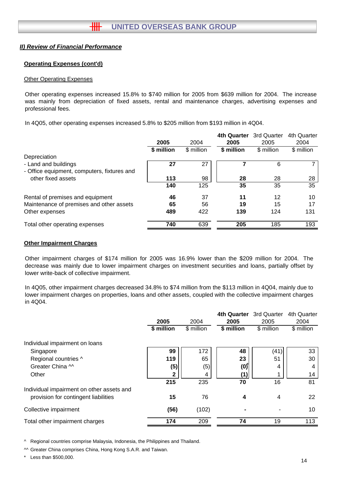## **Operating Expenses (cont'd)**

#### Other Operating Expenses

Other operating expenses increased 15.8% to \$740 million for 2005 from \$639 million for 2004. The increase was mainly from depreciation of fixed assets, rental and maintenance charges, advertising expenses and professional fees.

In 4Q05, other operating expenses increased 5.8% to \$205 million from \$193 million in 4Q04.

|                                             |            |            | <b>4th Quarter</b> | 3rd Quarter | 4th Quarter |
|---------------------------------------------|------------|------------|--------------------|-------------|-------------|
|                                             | 2005       | 2004       | 2005               | 2005        | 2004        |
|                                             | \$ million | \$ million | \$ million         | \$ million  | \$ million  |
| Depreciation                                |            |            |                    |             |             |
| - Land and buildings                        | 27         | 27         |                    | 6           |             |
| - Office equipment, computers, fixtures and |            |            |                    |             |             |
| other fixed assets                          | 113        | 98         | 28                 | 28          | 28          |
|                                             | 140        | 125        | 35                 | 35          | 35          |
| Rental of premises and equipment            | 46         | 37         | 11                 | 12          | 10          |
| Maintenance of premises and other assets    | 65         | 56         | 19                 | 15          | 17          |
| Other expenses                              | 489        | 422        | 139                | 124         | 131         |
| Total other operating expenses              | 740        | 639        | 205                | 185         | 193         |

## **Other Impairment Charges**

Other impairment charges of \$174 million for 2005 was 16.9% lower than the \$209 million for 2004. The decrease was mainly due to lower impairment charges on investment securities and loans, partially offset by lower write-back of collective impairment.

In 4Q05, other impairment charges decreased 34.8% to \$74 million from the \$113 million in 4Q04, mainly due to lower impairment charges on properties, loans and other assets, coupled with the collective impairment charges in 4Q04.

|                                           |            |            | 4th Quarter | 3rd Quarter | 4th Quarter |
|-------------------------------------------|------------|------------|-------------|-------------|-------------|
|                                           | 2005       | 2004       | 2005        | 2005        | 2004        |
|                                           | \$ million | \$ million | \$ million  | \$ million  | \$ million  |
| Individual impairment on loans            |            |            |             |             |             |
| Singapore                                 | 99         | 172        | 48          | (41)        | 33          |
| Regional countries ^                      | 119        | 65         | 23          | 51          | 30          |
| Greater China M                           | (5)        | (5)        | (0)         | 4           | 4           |
| Other                                     | 2          | 4          | (1)         |             | 14          |
|                                           | 215        | 235        | 70          | 16          | 81          |
| Individual impairment on other assets and |            |            |             |             |             |
| provision for contingent liabilities      | 15         | 76         | 4           | 4           | 22          |
| Collective impairment                     | (56)       | (102)      |             |             | 10          |
| Total other impairment charges            | 174        | 209        | 74          | 19          | 113         |
|                                           |            |            |             |             |             |

^ Regional countries comprise Malaysia, Indonesia, the Philippines and Thailand.

^^ Greater China comprises China, Hong Kong S.A.R. and Taiwan.

\* Less than \$500,000.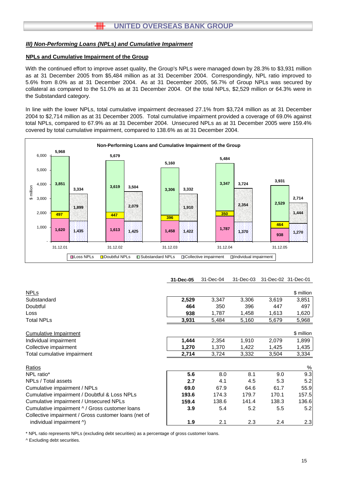#### **NPLs and Cumulative Impairment of the Group**

With the continued effort to improve asset quality, the Group's NPLs were managed down by 28.3% to \$3,931 million as at 31 December 2005 from \$5,484 million as at 31 December 2004. Correspondingly, NPL ratio improved to 5.6% from 8.0% as at 31 December 2004. As at 31 December 2005, 56.7% of Group NPLs was secured by collateral as compared to the 51.0% as at 31 December 2004. Of the total NPLs, \$2,529 million or 64.3% were in the Substandard category.

In line with the lower NPLs, total cumulative impairment decreased 27.1% from \$3,724 million as at 31 December 2004 to \$2,714 million as at 31 December 2005. Total cumulative impairment provided a coverage of 69.0% against total NPLs, compared to 67.9% as at 31 December 2004. Unsecured NPLs as at 31 December 2005 were 159.4% covered by total cumulative impairment, compared to 138.6% as at 31 December 2004.



**31-Dec-05** 31-Dec-04 31-Dec-03 31-Dec-02 31-Dec-01

| <b>NPLs</b>                                          |       |       |       |       | \$ million |
|------------------------------------------------------|-------|-------|-------|-------|------------|
| Substandard                                          | 2,529 | 3,347 | 3,306 | 3,619 | 3,851      |
| Doubtful                                             | 464   | 350   | 396   | 447   | 497        |
| Loss                                                 | 938   | 1,787 | 1,458 | 1,613 | 1,620      |
| <b>Total NPLs</b>                                    | 3,931 | 5,484 | 5,160 | 5,679 | 5,968      |
| Cumulative Impairment                                |       |       |       |       | \$ million |
| Individual impairment                                | 1,444 | 2,354 | 1,910 | 2,079 | 1,899      |
| Collective impairment                                | 1,270 | 1,370 | 1,422 | 1,425 | 1,435      |
| Total cumulative impairment                          | 2,714 | 3,724 | 3,332 | 3,504 | 3,334      |
| Ratios                                               |       |       |       |       | %          |
| NPL ratio*                                           | 5.6   | 8.0   | 8.1   | 9.0   | 9.3        |
| NPLs / Total assets                                  | 2.7   | 4.1   | 4.5   | 5.3   | 5.2        |
| Cumulative impairment / NPLs                         | 69.0  | 67.9  | 64.6  | 61.7  | 55.9       |
| Cumulative impairment / Doubtful & Loss NPLs         | 193.6 | 174.3 | 179.7 | 170.1 | 157.5      |
| Cumulative impairment / Unsecured NPLs               | 159.4 | 138.6 | 141.4 | 138.3 | 136.6      |
| Cumulative impairment ^ / Gross customer loans       | 3.9   | 5.4   | 5.2   | 5.5   | 5.2        |
| Collective impairment / Gross customer loans (net of |       |       |       |       |            |
| individual impairment ^)                             | 1.9   | 2.1   | 2.3   | 2.4   | 2.3        |

\* NPL ratio represents NPLs (excluding debt securities) as a percentage of gross customer loans.

^ Excluding debt securities.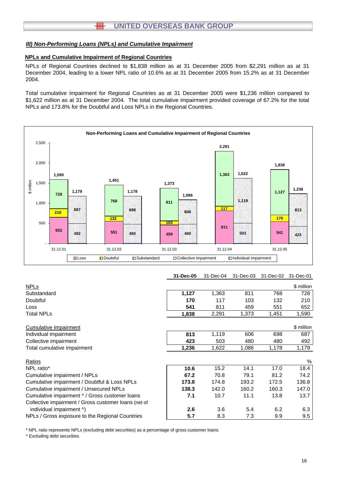# **HH UNITED OVERSEAS BANK GROUP**

#### *III) Non-Performing Loans (NPLs) and Cumulative Impairment*

#### **NPLs and Cumulative Impairment of Regional Countries**

NPLs of Regional Countries declined to \$1,838 million as at 31 December 2005 from \$2,291 million as at 31 December 2004, leading to a lower NPL ratio of 10.6% as at 31 December 2005 from 15.2% as at 31 December 2004.

Total cumulative impairment for Regional Countries as at 31 December 2005 were \$1,236 million compared to \$1,622 million as at 31 December 2004. The total cumulative impairment provided coverage of 67.2% for the total NPLs and 173.8% for the Doubtful and Loss NPLs in the Regional Countries.



|  | 31-Dec-05  31-Dec-04  31-Dec-03  31-Dec-02  31-Dec-01 |  |  |  |
|--|-------------------------------------------------------|--|--|--|
|--|-------------------------------------------------------|--|--|--|

| <b>NPLs</b>                                          |       |       |       |       | \$ million |
|------------------------------------------------------|-------|-------|-------|-------|------------|
|                                                      |       |       |       |       |            |
| Substandard                                          | 1,127 | 1,363 | 811   | 768   | 728        |
| Doubtful                                             | 170   | 117   | 103   | 132   | 210        |
| Loss                                                 | 541   | 811   | 459   | 551   | 652        |
| <b>Total NPLs</b>                                    | 1,838 | 2,291 | 1,373 | 1,451 | 1,590      |
| <b>Cumulative Impairment</b>                         |       |       |       |       | \$ million |
| Individual impairment                                | 813   | 1,119 | 606   | 698   | 687        |
| Collective impairment                                | 423   | 503   | 480   | 480   | 492        |
| Total cumulative impairment                          | 1,236 | 1,622 | 1,086 | 1,178 | 1,179      |
| Ratios                                               |       |       |       |       | %          |
| NPL ratio*                                           | 10.6  | 15.2  | 14.1  | 17.0  | 18.4       |
| Cumulative impairment / NPLs                         | 67.2  | 70.8  | 79.1  | 81.2  | 74.2       |
| Cumulative impairment / Doubtful & Loss NPLs         | 173.8 | 174.8 | 193.2 | 172.5 | 136.8      |
| Cumulative impairment / Unsecured NPLs               | 138.3 | 142.0 | 160.2 | 160.3 | 147.0      |
| Cumulative impairment ^ / Gross customer loans       | 7.1   | 10.7  | 11.1  | 13.8  | 13.7       |
| Collective impairment / Gross customer loans (net of |       |       |       |       |            |
| individual impairment ^)                             | 2.6   | 3.6   | 5.4   | 6.2   | 6.3        |
| NPLs / Gross exposure to the Regional Countries      | 5.7   | 8.3   | 7.3   | 9.9   | 9.5        |

\* NPL ratio represents NPLs (excluding debt securities) as a percentage of gross customer loans.

^ Excluding debt securities.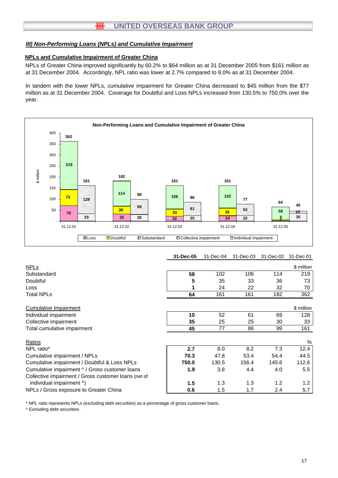# **HH UNITED OVERSEAS BANK GROUP**

#### *III) Non-Performing Loans (NPLs) and Cumulative Impairment*

#### **NPLs and Cumulative Impairment of Greater China**

NPLs of Greater China improved significantly by 60.2% to \$64 million as at 31 December 2005 from \$161 million as at 31 December 2004. Accordingly, NPL ratio was lower at 2.7% compared to 8.0% as at 31 December 2004.

In tandem with the lower NPLs, cumulative impairment for Greater China decreased to \$45 million from the \$77 million as at 31 December 2004. Coverage for Doubtful and Loss NPLs increased from 130.5% to 750.0% over the year.



## **31-Dec-05** 31-Dec-04 31-Dec-03 31-Dec-02 31-Dec-01

| <b>NPLs</b>                                          |       |       |       |       | \$ million       |
|------------------------------------------------------|-------|-------|-------|-------|------------------|
| Substandard                                          | 58    | 102   | 106   | 114   | 219              |
| Doubtful                                             | 5     | 35    | 33    | 36    | 73               |
| Loss                                                 |       | 24    | 22    | 32    | 70               |
| <b>Total NPLs</b>                                    | 64    | 161   | 161   | 182   | 362              |
| Cumulative Impairment                                |       |       |       |       | \$ million       |
| Individual impairment                                | 10    | 52    | 61    | 69    | 128              |
| Collective impairment                                | 35    | 25    | 25    | 30    | 33               |
| Total cumulative impairment                          | 45    | 77    | 86    | 99    | 161              |
| Ratios                                               |       |       |       |       | %                |
| NPL ratio*                                           | 2.7   | 8.0   | 8.2   | 7.3   | 12.4             |
| Cumulative impairment / NPLs                         | 70.3  | 47.8  | 53.4  | 54.4  | 44.5             |
| Cumulative impairment / Doubtful & Loss NPLs         | 750.0 | 130.5 | 156.4 | 145.6 | 112.6            |
| Cumulative impairment ^ / Gross customer loans       | 1.9   | 3.8   | 4.4   | 4.0   | 5.5 <sub>1</sub> |
| Collective impairment / Gross customer loans (net of |       |       |       |       |                  |
| individual impairment ^)                             | 1.5   | 1.3   | 1.3   | 1.2   | 1.2 <sub>1</sub> |
| NPLs / Gross exposure to Greater China               | 0.6   | 1.5   | 1.7   | 2.4   | 5.7              |

\* NPL ratio represents NPLs (excluding debt securities) as a percentage of gross customer loans.

^ Excluding debt securities.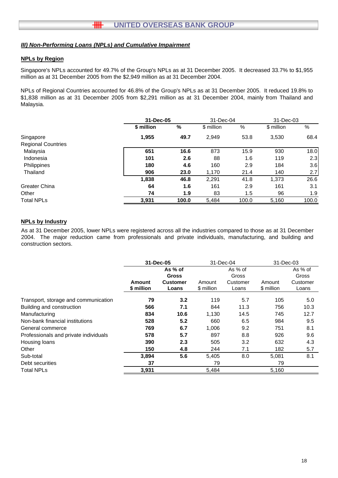# **NPLs by Region**

Singapore's NPLs accounted for 49.7% of the Group's NPLs as at 31 December 2005. It decreased 33.7% to \$1,955 million as at 31 December 2005 from the \$2,949 million as at 31 December 2004.

NPLs of Regional Countries accounted for 46.8% of the Group's NPLs as at 31 December 2005. It reduced 19.8% to \$1,838 million as at 31 December 2005 from \$2,291 million as at 31 December 2004, mainly from Thailand and Malaysia.

|                           |            | 31-Dec-05 |            | 31-Dec-04 |            | 31-Dec-03 |
|---------------------------|------------|-----------|------------|-----------|------------|-----------|
|                           | \$ million | %         | \$ million | %         | \$ million | %         |
| Singapore                 | 1,955      | 49.7      | 2,949      | 53.8      | 3,530      | 68.4      |
| <b>Regional Countries</b> |            |           |            |           |            |           |
| Malaysia                  | 651        | 16.6      | 873        | 15.9      | 930        | 18.0      |
| Indonesia                 | 101        | 2.6       | 88         | 1.6       | 119        | 2.3       |
| Philippines               | 180        | 4.6       | 160        | 2.9       | 184        | 3.6       |
| Thailand                  | 906        | 23.0      | 1,170      | 21.4      | 140        | 2.7       |
|                           | 1,838      | 46.8      | 2,291      | 41.8      | 1,373      | 26.6      |
| Greater China             | 64         | 1.6       | 161        | 2.9       | 161        | 3.1       |
| Other                     | 74         | 1.9       | 83         | $1.5\,$   | 96         | 1.9       |
| <b>Total NPLs</b>         | 3,931      | 100.0     | 5,484      | 100.0     | 5,160      | 100.0     |

## **NPLs by Industry**

As at 31 December 2005, lower NPLs were registered across all the industries compared to those as at 31 December 2004. The major reduction came from professionals and private individuals, manufacturing, and building and construction sectors.

|                                       | 31-Dec-05  |                 | 31-Dec-04  |          | 31-Dec-03  |          |
|---------------------------------------|------------|-----------------|------------|----------|------------|----------|
|                                       |            | As % of         |            | As % of  |            | As % of  |
|                                       |            | <b>Gross</b>    |            | Gross    |            | Gross    |
|                                       | Amount     | <b>Customer</b> | Amount     | Customer | Amount     | Customer |
|                                       | \$ million | Loans           | \$ million | Loans    | \$ million | Loans    |
| Transport, storage and communication  | 79         | 3.2             | 119        | 5.7      | 105        | 5.0      |
| Building and construction             | 566        | 7.1             | 844        | 11.3     | 756        | 10.3     |
| Manufacturing                         | 834        | 10.6            | 1,130      | 14.5     | 745        | 12.7     |
| Non-bank financial institutions       | 528        | 5.2             | 660        | 6.5      | 984        | 9.5      |
| General commerce                      | 769        | 6.7             | 1,006      | 9.2      | 751        | 8.1      |
| Professionals and private individuals | 578        | 5.7             | 897        | 8.8      | 926        | 9.6      |
| Housing loans                         | 390        | 2.3             | 505        | 3.2      | 632        | 4.3      |
| Other                                 | 150        | 4.8             | 244        | 7.1      | 182        | 5.7      |
| Sub-total                             | 3,894      | 5.6             | 5,405      | 8.0      | 5,081      | 8.1      |
| Debt securities                       | 37         |                 | 79         |          | 79         |          |
| <b>Total NPLs</b>                     | 3,931      |                 | 5,484      |          | 5,160      |          |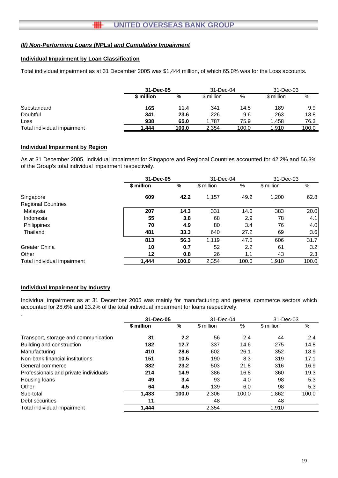# **Individual Impairment by Loan Classification**

Total individual impairment as at 31 December 2005 was \$1,444 million, of which 65.0% was for the Loss accounts.

|                             | 31-Dec-05  |       | 31-Dec-04  |       | 31-Dec-03  |       |
|-----------------------------|------------|-------|------------|-------|------------|-------|
|                             | \$ million | %     | \$ million | %     | \$ million | %     |
| Substandard                 | 165        | 11.4  | 341        | 14.5  | 189        | 9.9   |
| Doubtful                    | 341        | 23.6  | 226        | 9.6   | 263        | 13.8  |
| Loss                        | 938        | 65.0  | 1.787      | 75.9  | 1.458      | 76.3  |
| Total individual impairment | .444       | 100.0 | 2,354      | 100.0 | 1.910      | 100.0 |

## **Individual Impairment by Region**

As at 31 December 2005, individual impairment for Singapore and Regional Countries accounted for 42.2% and 56.3% of the Group's total individual impairment respectively.

|                             | 31-Dec-05         |       | 31-Dec-04  |       | 31-Dec-03  |       |
|-----------------------------|-------------------|-------|------------|-------|------------|-------|
|                             | \$ million        | %     | \$ million | %     | \$ million | %     |
| Singapore                   | 609               | 42.2  | 1,157      | 49.2  | 1,200      | 62.8  |
| <b>Regional Countries</b>   |                   |       |            |       |            |       |
| Malaysia                    | 207               | 14.3  | 331        | 14.0  | 383        | 20.0  |
| Indonesia                   | 55                | 3.8   | 68         | 2.9   | 78         | 4.1   |
| Philippines                 | 70                | 4.9   | 80         | 3.4   | 76         | 4.0   |
| Thailand                    | 481               | 33.3  | 640        | 27.2  | 69         | 3.6   |
|                             | 813               | 56.3  | 1,119      | 47.5  | 606        | 31.7  |
| Greater China               | 10                | 0.7   | 52         | 2.2   | 61         | 3.2   |
| Other                       | $12 \overline{ }$ | 0.8   | 26         | 1.1   | 43         | 2.3   |
| Total individual impairment | 1,444             | 100.0 | 2,354      | 100.0 | 1,910      | 100.0 |

## **Individual Impairment by Industry**

Individual impairment as at 31 December 2005 was mainly for manufacturing and general commerce sectors which accounted for 28.6% and 23.2% of the total individual impairment for loans respectively.

|                                       | 31-Dec-05  |               | 31-Dec-04  |       | 31-Dec-03  |       |
|---------------------------------------|------------|---------------|------------|-------|------------|-------|
|                                       | \$ million | $\frac{0}{0}$ | \$ million | $\%$  | \$ million | %     |
| Transport, storage and communication  | 31         | 2.2           | 56         | 2.4   | 44         | 2.4   |
| Building and construction             | 182        | 12.7          | 337        | 14.6  | 275        | 14.8  |
| Manufacturing                         | 410        | 28.6          | 602        | 26.1  | 352        | 18.9  |
| Non-bank financial institutions       | 151        | 10.5          | 190        | 8.3   | 319        | 17.1  |
| General commerce                      | 332        | 23.2          | 503        | 21.8  | 316        | 16.9  |
| Professionals and private individuals | 214        | 14.9          | 386        | 16.8  | 360        | 19.3  |
| Housing loans                         | 49         | 3.4           | 93         | 4.0   | 98         | 5.3   |
| Other                                 | 64         | 4.5           | 139        | 6.0   | 98         | 5.3   |
| Sub-total                             | 1,433      | 100.0         | 2,306      | 100.0 | 1,862      | 100.0 |
| Debt securities                       | 11         |               | 48         |       | 48         |       |
| Total individual impairment           | 1,444      |               | 2,354      |       | 1,910      |       |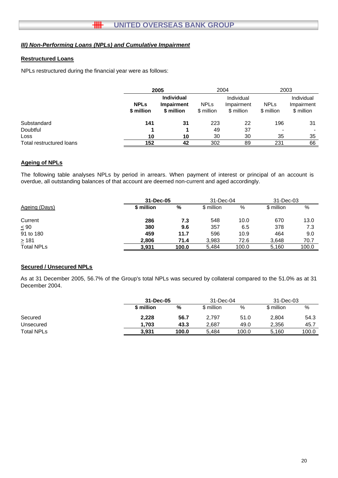# **Restructured Loans**

NPLs restructured during the financial year were as follows:

|                          |                           | 2005                                          |                           | 2004                                   | 2003                      |                                        |  |
|--------------------------|---------------------------|-----------------------------------------------|---------------------------|----------------------------------------|---------------------------|----------------------------------------|--|
|                          | <b>NPLS</b><br>\$ million | <b>Individual</b><br>Impairment<br>\$ million | <b>NPLs</b><br>\$ million | Individual<br>Impairment<br>\$ million | <b>NPLs</b><br>\$ million | Individual<br>Impairment<br>\$ million |  |
| Substandard              | 141                       | 31                                            | 223                       | 22                                     | 196                       | 31                                     |  |
| Doubtful                 |                           |                                               | 49                        | 37                                     |                           |                                        |  |
| Loss                     | 10                        | 10                                            | 30                        | 30                                     | 35                        | 35                                     |  |
| Total restructured loans | 152                       | 42                                            | 302                       | 89                                     | 231                       | 66                                     |  |

## **Ageing of NPLs**

The following table analyses NPLs by period in arrears. When payment of interest or principal of an account is overdue, all outstanding balances of that account are deemed non-current and aged accordingly.

|                   | 31-Dec-05  |       | 31-Dec-04  |       | 31-Dec-03  |       |
|-------------------|------------|-------|------------|-------|------------|-------|
| Ageing (Days)     | \$ million | %     | \$ million | %     | \$ million | %     |
| Current           | 286        | 7.3   | 548        | 10.0  | 670        | 13.0  |
| $\leq 90$         | 380        | 9.6   | 357        | 6.5   | 378        | 7.3   |
| 91 to 180         | 459        | 11.7  | 596        | 10.9  | 464        | 9.0   |
| $\geq 181$        | 2,806      | 71.4  | 3.983      | 72.6  | 3.648      | 70.7  |
| <b>Total NPLs</b> | 3.931      | 100.0 | 5.484      | 100.0 | 5,160      | 100.0 |

## **Secured / Unsecured NPLs**

As at 31 December 2005, 56.7% of the Group's total NPLs was secured by collateral compared to the 51.0% as at 31 December 2004.

|                   |            | 31-Dec-05 |            | 31-Dec-04 |            | 31-Dec-03 |
|-------------------|------------|-----------|------------|-----------|------------|-----------|
|                   | \$ million | %         | \$ million | %         | \$ million | %         |
| Secured           | 2,228      | 56.7      | 2,797      | 51.0      | 2,804      | 54.3      |
| Unsecured         | 1.703      | 43.3      | 2.687      | 49.0      | 2.356      | 45.7      |
| <b>Total NPLs</b> | 3.931      | 100.0     | 5.484      | 100.0     | 5.160      | 100.0     |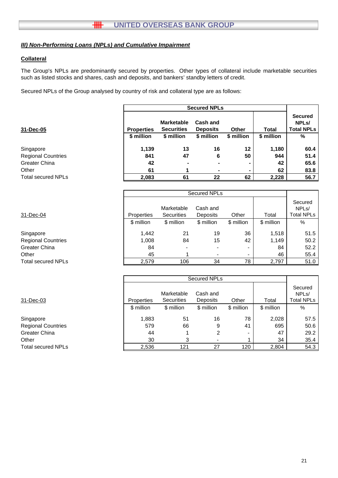# **Collateral**

The Group's NPLs are predominantly secured by properties. Other types of collateral include marketable securities such as listed stocks and shares, cash and deposits, and bankers' standby letters of credit.

Secured NPLs of the Group analysed by country of risk and collateral type are as follows:

|                           |                   | <b>Secured NPLs</b>                    |                                    |              |              |                                                           |  |
|---------------------------|-------------------|----------------------------------------|------------------------------------|--------------|--------------|-----------------------------------------------------------|--|
| 31-Dec-05                 | <b>Properties</b> | <b>Marketable</b><br><b>Securities</b> | <b>Cash and</b><br><b>Deposits</b> | <b>Other</b> | <b>Total</b> | <b>Secured</b><br>NPL <sub>s</sub> /<br><b>Total NPLs</b> |  |
|                           | \$ million        | \$ million                             | \$ million                         | \$ million   | \$ million   | %                                                         |  |
| Singapore                 | 1,139             | 13                                     | 16                                 | 12           | 1,180        | 60.4                                                      |  |
| <b>Regional Countries</b> | 841               | 47                                     | 6                                  | 50           | 944          | 51.4                                                      |  |
| <b>Greater China</b>      | 42                |                                        |                                    |              | 42           | 65.6                                                      |  |
| Other                     | 61                |                                        |                                    |              | 62           | 83.8                                                      |  |
| <b>Total secured NPLs</b> | 2,083             | 61                                     | 22                                 | 62           | 2,228        | 56.7                                                      |  |
|                           |                   |                                        |                                    |              |              |                                                           |  |
|                           |                   |                                        | <b>Secured NPLs</b>                |              |              |                                                           |  |
|                           |                   | Marketable                             | Cash and                           |              |              | Secured<br>NPL <sub>s</sub> /                             |  |
| 31-Dec-04                 | Properties        | <b>Securities</b>                      | Deposits                           | Other        | Total        | <b>Total NPLs</b>                                         |  |
|                           | \$ million        | \$ million                             | \$ million                         | \$ million   | \$ million   | $\%$                                                      |  |
| Singapore                 | 1,442             | 21                                     | 19                                 | 36           | 1,518        | 51.5                                                      |  |
| <b>Regional Countries</b> | 1,008             | 84                                     | 15                                 | 42           | 1,149        | 50.2                                                      |  |
| Greater China             | 84                |                                        |                                    |              | 84           | 52.2                                                      |  |

|                           |            |                                 | <b>Secured NPLs</b>      |            |            |                                                    |
|---------------------------|------------|---------------------------------|--------------------------|------------|------------|----------------------------------------------------|
| 31-Dec-03                 | Properties | Marketable<br><b>Securities</b> | Cash and<br>Deposits     | Other      | Total      | Secured<br>NPL <sub>s</sub> /<br><b>Total NPLs</b> |
|                           | \$ million | \$ million                      | \$ million               | \$ million | \$ million | %                                                  |
| Singapore                 | 1,883      | 51                              | 16                       | 78         | 2,028      | 57.5                                               |
| <b>Regional Countries</b> | 579        | 66                              | 9                        | 41         | 695        | 50.6                                               |
| Greater China             | 44         | 1                               | 2                        |            | 47         | 29.2                                               |
| Other                     | 30         | 3                               | $\overline{\phantom{0}}$ |            | 34         | 35.4                                               |
| <b>Total secured NPLs</b> | 2,536      | 121                             | 27                       | 120        | 2,804      | 54.3                                               |

Other 45 1 - - 46 55.4 Total secured NPLs **2,579** 106 34 78 2,797 51.0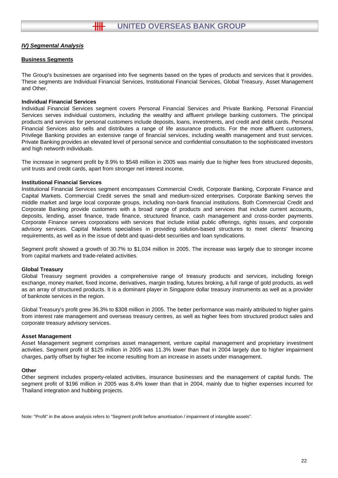#### **Business Segments**

The Group's businesses are organised into five segments based on the types of products and services that it provides. These segments are Individual Financial Services, Institutional Financial Services, Global Treasury, Asset Management and Other.

#### **Individual Financial Services**

Individual Financial Services segment covers Personal Financial Services and Private Banking. Personal Financial Services serves individual customers, including the wealthy and affluent privilege banking customers. The principal products and services for personal customers include deposits, loans, investments, and credit and debit cards. Personal Financial Services also sells and distributes a range of life assurance products. For the more affluent customers, Privilege Banking provides an extensive range of financial services, including wealth management and trust services. Private Banking provides an elevated level of personal service and confidential consultation to the sophisticated investors and high networth individuals.

The increase in segment profit by 8.9% to \$548 million in 2005 was mainly due to higher fees from structured deposits, unit trusts and credit cards, apart from stronger net interest income.

#### **Institutional Financial Services**

Institutional Financial Services segment encompasses Commercial Credit, Corporate Banking, Corporate Finance and Capital Markets. Commercial Credit serves the small and medium-sized enterprises. Corporate Banking serves the middle market and large local corporate groups, including non-bank financial institutions. Both Commercial Credit and Corporate Banking provide customers with a broad range of products and services that include current accounts, deposits, lending, asset finance, trade finance, structured finance, cash management and cross-border payments. Corporate Finance serves corporations with services that include initial public offerings, rights issues, and corporate advisory services. Capital Markets specialises in providing solution-based structures to meet clients' financing requirements, as well as in the issue of debt and quasi-debt securities and loan syndications.

Segment profit showed a growth of 30.7% to \$1,034 million in 2005. The increase was largely due to stronger income from capital markets and trade-related activities.

## **Global Treasury**

Global Treasury segment provides a comprehensive range of treasury products and services, including foreign exchange, money market, fixed income, derivatives, margin trading, futures broking, a full range of gold products, as well as an array of structured products. It is a dominant player in Singapore dollar treasury instruments as well as a provider of banknote services in the region.

Global Treasury's profit grew 36.3% to \$308 million in 2005. The better performance was mainly attributed to higher gains from interest rate management and overseas treasury centres, as well as higher fees from structured product sales and corporate treasury advisory services.

#### **Asset Management**

Asset Management segment comprises asset management, venture capital management and proprietary investment activities. Segment profit of \$125 million in 2005 was 11.3% lower than that in 2004 largely due to higher impairment charges, partly offset by higher fee income resulting from an increase in assets under management.

#### **Other**

Other segment includes property-related activities, insurance businesses and the management of capital funds. The segment profit of \$196 million in 2005 was 8.4% lower than that in 2004, mainly due to higher expenses incurred for Thailand integration and hubbing projects.

Note: "Profit" in the above analysis refers to "Segment profit before amortisation / impairment of intangible assets".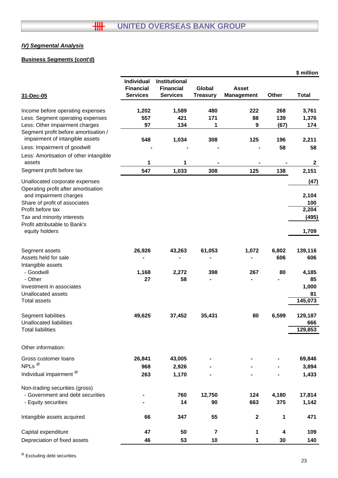# **Business Segments (cont'd)**

|                                                                                                                                                               |                                                   |                                                             |                           |                                   |                    | \$ million                                              |
|---------------------------------------------------------------------------------------------------------------------------------------------------------------|---------------------------------------------------|-------------------------------------------------------------|---------------------------|-----------------------------------|--------------------|---------------------------------------------------------|
| 31-Dec-05                                                                                                                                                     | Individual<br><b>Financial</b><br><b>Services</b> | <b>Institutional</b><br><b>Financial</b><br><b>Services</b> | Global<br><b>Treasury</b> | <b>Asset</b><br><b>Management</b> | Other              | <b>Total</b>                                            |
| Income before operating expenses                                                                                                                              | 1,202                                             | 1,589                                                       | 480                       | 222                               | 268                | 3,761                                                   |
| Less: Segment operating expenses                                                                                                                              | 557                                               | 421                                                         | 171                       | 88                                | 139                | 1,376                                                   |
| Less: Other impairment charges                                                                                                                                | 97                                                | 134                                                         | 1                         | 9                                 | (67)               | 174                                                     |
| Segment profit before amortisation /<br>impairment of intangible assets                                                                                       | 548                                               | 1,034                                                       | 308                       | 125                               | 196                | 2,211                                                   |
| Less: Impairment of goodwill                                                                                                                                  |                                                   |                                                             |                           |                                   | 58                 | 58                                                      |
| Less: Amortisation of other intangible<br>assets                                                                                                              | 1                                                 | 1                                                           |                           |                                   |                    | $\mathbf{2}$                                            |
| Segment profit before tax                                                                                                                                     | 547                                               | 1,033                                                       | 308                       | 125                               | 138                | 2,151                                                   |
| Unallocated corporate expenses<br>Operating profit after amortisation<br>and impairment charges                                                               |                                                   |                                                             |                           |                                   |                    | (47)<br>2,104                                           |
| Share of profit of associates                                                                                                                                 |                                                   |                                                             |                           |                                   |                    | 100                                                     |
| Profit before tax                                                                                                                                             |                                                   |                                                             |                           |                                   |                    | 2,204                                                   |
| Tax and minority interests                                                                                                                                    |                                                   |                                                             |                           |                                   |                    | (495)                                                   |
| Profit attributable to Bank's<br>equity holders                                                                                                               |                                                   |                                                             |                           |                                   |                    | 1,709                                                   |
| Segment assets<br>Assets held for sale<br>Intangible assets<br>- Goodwill<br>- Other<br>Investment in associates<br>Unallocated assets<br><b>Total assets</b> | 26,926<br>1,168<br>27                             | 43,263<br>2,272<br>58                                       | 61,053<br>398             | 1,072<br>267                      | 6,802<br>606<br>80 | 139,116<br>606<br>4,185<br>85<br>1,000<br>81<br>145,073 |
| Segment liabilities<br>Unallocated liabilities                                                                                                                | 49,625                                            | 37,452                                                      | 35,431                    | 80                                | 6,599              | 129,187<br>666                                          |
| <b>Total liabilities</b>                                                                                                                                      |                                                   |                                                             |                           |                                   |                    | 129,853                                                 |
| Other information:                                                                                                                                            |                                                   |                                                             |                           |                                   |                    |                                                         |
| Gross customer loans                                                                                                                                          | 26,841                                            | 43,005                                                      |                           |                                   |                    | 69,846                                                  |
| NPLs <sup>@</sup>                                                                                                                                             | 968                                               | 2,926                                                       |                           |                                   |                    | 3,894                                                   |
| Individual impairment <sup>@</sup>                                                                                                                            | 263                                               | 1,170                                                       |                           |                                   |                    | 1,433                                                   |
| Non-trading securities (gross)<br>- Government and debt securities<br>- Equity securities                                                                     |                                                   | 760<br>14                                                   | 12,750<br>90              | 124<br>663                        | 4,180<br>375       | 17,814<br>1,142                                         |
| Intangible assets acquired                                                                                                                                    | 66                                                | 347                                                         | 55                        | $\mathbf 2$                       | 1                  | 471                                                     |
| Capital expenditure                                                                                                                                           | 47                                                | 50                                                          | 7                         | 1                                 | 4                  | 109                                                     |
| Depreciation of fixed assets                                                                                                                                  | 46                                                | 53                                                          | 10                        | 1                                 | 30                 | 140                                                     |
|                                                                                                                                                               |                                                   |                                                             |                           |                                   |                    |                                                         |

<sup>@</sup> Excluding debt securities.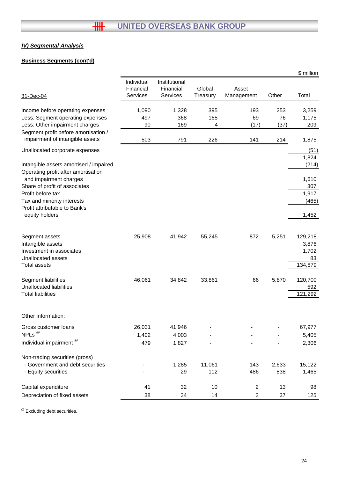# **Business Segments (cont'd)**

|                                                                               |                                     |                                        |                    |                     |       | \$ million     |
|-------------------------------------------------------------------------------|-------------------------------------|----------------------------------------|--------------------|---------------------|-------|----------------|
| 31-Dec-04                                                                     | Individual<br>Financial<br>Services | Institutional<br>Financial<br>Services | Global<br>Treasury | Asset<br>Management | Other | Total          |
| Income before operating expenses                                              | 1,090                               | 1,328                                  | 395                | 193                 | 253   | 3,259          |
| Less: Segment operating expenses                                              | 497                                 | 368                                    | 165                | 69                  | 76    | 1,175          |
| Less: Other impairment charges                                                | 90                                  | 169                                    | 4                  | (17)                | (37)  | 209            |
| Segment profit before amortisation /<br>impairment of intangible assets       | 503                                 | 791                                    | 226                | 141                 | 214   | 1,875          |
| Unallocated corporate expenses                                                |                                     |                                        |                    |                     |       | (51)           |
| Intangible assets amortised / impaired<br>Operating profit after amortisation |                                     |                                        |                    |                     |       | 1,824<br>(214) |
| and impairment charges                                                        |                                     |                                        |                    |                     |       | 1,610          |
| Share of profit of associates                                                 |                                     |                                        |                    |                     |       | 307            |
| Profit before tax                                                             |                                     |                                        |                    |                     |       | 1,917          |
| Tax and minority interests                                                    |                                     |                                        |                    |                     |       | (465)          |
| Profit attributable to Bank's<br>equity holders                               |                                     |                                        |                    |                     |       | 1,452          |
| Segment assets                                                                | 25,908                              | 41,942                                 | 55,245             | 872                 | 5,251 | 129,218        |
| Intangible assets                                                             |                                     |                                        |                    |                     |       | 3,876          |
| Investment in associates                                                      |                                     |                                        |                    |                     |       | 1,702          |
| Unallocated assets                                                            |                                     |                                        |                    |                     |       | 83             |
| Total assets                                                                  |                                     |                                        |                    |                     |       | 134,879        |
| Segment liabilities                                                           | 46,061                              | 34,842                                 | 33,861             | 66                  | 5,870 | 120,700        |
| <b>Unallocated liabilities</b>                                                |                                     |                                        |                    |                     |       | 592            |
| <b>Total liabilities</b>                                                      |                                     |                                        |                    |                     |       | 121,292        |
| Other information:                                                            |                                     |                                        |                    |                     |       |                |
| Gross customer loans                                                          | 26,031                              | 41,946                                 |                    |                     |       | 67,977         |
| NPLs <sup>@</sup>                                                             | 1,402                               | 4,003                                  |                    |                     |       | 5,405          |
| Individual impairment <sup>@</sup>                                            | 479                                 | 1,827                                  |                    |                     |       | 2,306          |
| Non-trading securities (gross)                                                |                                     |                                        |                    |                     |       |                |
| - Government and debt securities                                              |                                     | 1,285                                  | 11,061             | 143                 | 2,633 | 15,122         |
| - Equity securities                                                           |                                     | 29                                     | 112                | 486                 | 838   | 1,465          |
| Capital expenditure                                                           | 41                                  | 32                                     | 10                 | $\overline{2}$      | 13    | 98             |
| Depreciation of fixed assets                                                  | 38                                  | 34                                     | 14                 | $\overline{2}$      | 37    | 125            |

@ Excluding debt securities.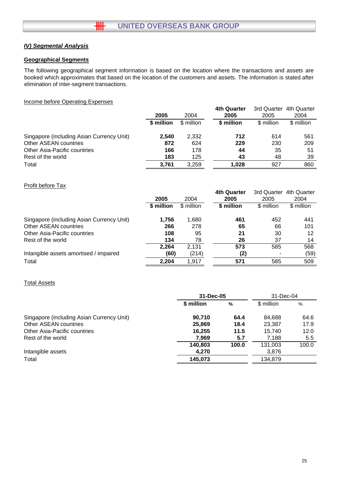# **Geographical Segments**

The following geographical segment information is based on the location where the transactions and assets are booked which approximates that based on the location of the customers and assets. The information is stated after elimination of inter-segment transactions.

### Income before Operating Expenses

|                                           |            |            | 4th Quarter | 3rd Quarter | 4th Quarter |
|-------------------------------------------|------------|------------|-------------|-------------|-------------|
|                                           | 2005       | 2004       | 2005        | 2005        | 2004        |
|                                           | \$ million | \$ million | \$ million  | \$ million  | \$ million  |
| Singapore (including Asian Currency Unit) | 2.540      | 2.332      | 712         | 614         | 561         |
| <b>Other ASEAN countries</b>              | 872        | 624        | 229         | 230         | 209         |
| Other Asia-Pacific countries              | 166        | 178        | 44          | 35          | 51          |
| Rest of the world                         | 183        | 125        | 43          | 48          | 39          |
| Total                                     | 3.761      | 3.259      | 1.028       | 927         | 860         |

# Profit before Tax

|            |            | <b>4th Quarter</b> | 3rd Quarter | 4th Quarter |
|------------|------------|--------------------|-------------|-------------|
| 2005       | 2004       | 2005               | 2005        | 2004        |
| \$ million | \$ million | \$ million         | \$ million  | \$ million  |
| 1,756      | 1,680      | 461                | 452         | 441         |
| 266        | 278        | 65                 | 66          | 101         |
| 108        | 95         | 21                 | 30          | 12          |
| 134        | 78         | 26                 | 37          | 14          |
| 2.264      | 2.131      | 573                | 585         | 568         |
| (60)       | (214)      | (2)                |             | (59)        |
| 2,204      | 1,917      | 571                | 585         | 509         |
|            |            |                    |             |             |

# Total Assets

|                                           | 31-Dec-05  |               | 31-Dec-04  |       |
|-------------------------------------------|------------|---------------|------------|-------|
|                                           | \$ million | $\frac{0}{0}$ | \$ million | %     |
| Singapore (including Asian Currency Unit) | 90.710     | 64.4          | 84.688     | 64.6  |
| Other ASEAN countries                     | 25,869     | 18.4          | 23,387     | 17.9  |
| Other Asia-Pacific countries              | 16.255     | 11.5          | 15.740     | 12.0  |
| Rest of the world                         | 7.969      | 5.7           | 7.188      | 5.5   |
|                                           | 140,803    | 100.0         | 131,003    | 100.0 |
| Intangible assets                         | 4,270      |               | 3,876      |       |
| Total                                     | 145,073    |               | 134.879    |       |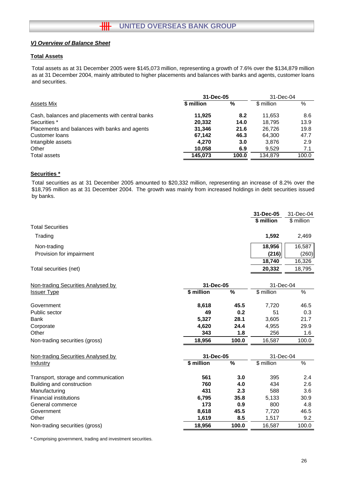# **Total Assets**

Total assets as at 31 December 2005 were \$145,073 million, representing a growth of 7.6% over the \$134,879 million as at 31 December 2004, mainly attributed to higher placements and balances with banks and agents, customer loans and securities.

|                                                  | 31-Dec-05  | 31-Dec-04 |            |       |
|--------------------------------------------------|------------|-----------|------------|-------|
| Assets Mix                                       | \$ million | %         | \$ million | $\%$  |
| Cash, balances and placements with central banks | 11.925     | 8.2       | 11.653     | 8.6   |
| Securities *                                     | 20,332     | 14.0      | 18.795     | 13.9  |
| Placements and balances with banks and agents    | 31,346     | 21.6      | 26.726     | 19.8  |
| Customer loans                                   | 67,142     | 46.3      | 64,300     | 47.7  |
| Intangible assets                                | 4.270      | 3.0       | 3.876      | 2.9   |
| Other                                            | 10.058     | 6.9       | 9.529      | 7.1   |
| Total assets                                     | 145.073    | 100.0     | 134.879    | 100.0 |
|                                                  |            |           |            |       |

## **Securities \***

Total securities as at 31 December 2005 amounted to \$20,332 million, representing an increase of 8.2% over the \$18,795 million as at 31 December 2004. The growth was mainly from increased holdings in debt securities issued by banks.

|                          | 31-Dec-05<br>\$ million | 31-Dec-04<br>\$ million |
|--------------------------|-------------------------|-------------------------|
| <b>Total Securities</b>  |                         |                         |
| Trading                  | 1.592                   | 2,469                   |
| Non-trading              | 18,956                  | 16,587                  |
| Provision for impairment | (216)                   | (260)                   |
|                          | 18,740                  | 16,326                  |
| Total securities (net)   | 20,332                  | 18,795                  |

| Non-trading Securities Analysed by | 31-Dec-05  |       |            | 31-Dec-04 |  |
|------------------------------------|------------|-------|------------|-----------|--|
| <b>Issuer Type</b>                 | \$ million | %     | \$ million | %         |  |
| Government                         | 8,618      | 45.5  | 7.720      | 46.5      |  |
| Public sector                      | 49         | 0.2   | 51         | 0.3       |  |
| <b>Bank</b>                        | 5.327      | 28.1  | 3.605      | 21.7      |  |
| Corporate                          | 4,620      | 24.4  | 4,955      | 29.9      |  |
| Other                              | 343        | 1.8   | 256        | 1.6       |  |
| Non-trading securities (gross)     | 18.956     | 100.0 | 16.587     | 100.0     |  |

| Non-trading Securities Analysed by   | 31-Dec-05  |       | 31-Dec-04  |       |
|--------------------------------------|------------|-------|------------|-------|
| Industry                             | \$ million | %     | \$ million | $\%$  |
| Transport, storage and communication | 561        | 3.0   | 395        | 2.4   |
| Building and construction            | 760        | 4.0   | 434        | 2.6   |
| Manufacturing                        | 431        | 2.3   | 588        | 3.6   |
| <b>Financial institutions</b>        | 6,795      | 35.8  | 5.133      | 30.9  |
| General commerce                     | 173        | 0.9   | 800        | 4.8   |
| Government                           | 8,618      | 45.5  | 7.720      | 46.5  |
| Other                                | 1,619      | 8.5   | 1,517      | 9.2   |
| Non-trading securities (gross)       | 18.956     | 100.0 | 16.587     | 100.0 |

\* Comprising government, trading and investment securities.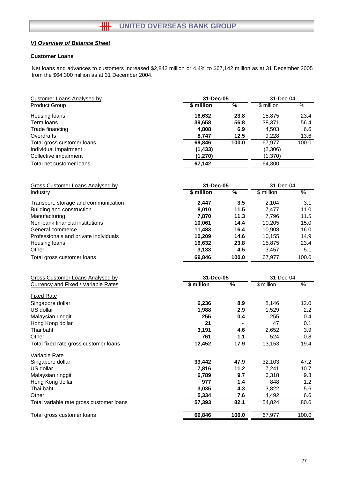#### **Customer Loans**

Net loans and advances to customers increased \$2,842 million or 4.4% to \$67,142 million as at 31 December 2005 from the \$64,300 million as at 31 December 2004.

| \$ million<br>$\frac{1}{2}$<br>\$ million<br>$\frac{0}{6}$<br><b>Product Group</b><br>16,632<br>23.8<br>23.4<br>Housing loans<br>15,875<br>Term loans<br>39,658<br>56.8<br>56.4<br>38,371<br>4,808<br>6.9<br>4,503<br>Trade financing<br>6.6<br>12.5<br>Overdrafts<br>8,747<br>9,228<br>13.6<br>100.0<br>67,977<br>100.0<br>Total gross customer loans<br>69,846<br>Individual impairment<br>(2,306)<br>(1, 433)<br>(1, 370)<br>Collective impairment<br>(1, 270)<br>67,142<br>Total net customer loans<br>64,300<br><b>Gross Customer Loans Analysed by</b><br>31-Dec-05<br>31-Dec-04<br>\$ million<br>$\frac{0}{6}$<br>\$ million<br>$\frac{0}{6}$<br>Industry<br>2,104<br>Transport, storage and communication<br>2,447<br>3.5<br>3.1<br>7,477<br>Building and construction<br>8,010<br>11.5<br>11.0<br>11.3<br>Manufacturing<br>7,870<br>7,796<br>11.5<br>Non-bank financial institutions<br>14.4<br>10,205<br>10,061<br>15.0<br>16.4<br>General commerce<br>11,483<br>10,908<br>16.0<br>10,209<br>14.6<br>Professionals and private individuals<br>10,155<br>14.9<br>23.4<br>Housing loans<br>16,632<br>23.8<br>15,875<br>4.5<br>Other<br>3,133<br>5.1<br>3,457<br>69,846<br>100.0<br>67,977<br>100.0<br>Total gross customer loans<br><b>Gross Customer Loans Analysed by</b><br>31-Dec-05<br>31-Dec-04<br>\$ million<br>$\overline{\frac{9}{6}}$<br>\$ million<br><b>Currency and Fixed / Variable Rates</b><br>%<br><b>Fixed Rate</b><br>Singapore dollar<br>12.0<br>6,236<br>8.9<br>8,146<br>US dollar<br>1,988<br>2.9<br>1,529<br>2.2<br>255<br>0.4<br>255<br>0.4<br>Malaysian ringgit<br>21<br>47<br>Hong Kong dollar<br>0.1<br>Thai baht<br>3,191<br>4.6<br>2,652<br>3.9<br>Other<br>761<br>1.1<br>524<br>0.8<br>19.4<br>12,452<br>17.9<br>13,153<br>Total fixed rate gross customer loans<br>Variable Rate<br>33,442<br>47.9<br>32,103<br>47.2<br>Singapore dollar<br>US dollar<br>11.2<br>7,241<br>10.7<br>7,816<br>Malaysian ringgit<br>9.7<br>6,789<br>6,318<br>9.3<br>977<br>1.4<br>1.2<br>Hong Kong dollar<br>848 | <b>Customer Loans Analysed by</b> | 31-Dec-05 |  | 31-Dec-04 |  |
|-------------------------------------------------------------------------------------------------------------------------------------------------------------------------------------------------------------------------------------------------------------------------------------------------------------------------------------------------------------------------------------------------------------------------------------------------------------------------------------------------------------------------------------------------------------------------------------------------------------------------------------------------------------------------------------------------------------------------------------------------------------------------------------------------------------------------------------------------------------------------------------------------------------------------------------------------------------------------------------------------------------------------------------------------------------------------------------------------------------------------------------------------------------------------------------------------------------------------------------------------------------------------------------------------------------------------------------------------------------------------------------------------------------------------------------------------------------------------------------------------------------------------------------------------------------------------------------------------------------------------------------------------------------------------------------------------------------------------------------------------------------------------------------------------------------------------------------------------------------------------------------------------------------------------------------------------------------------------------------------------------------------------------------|-----------------------------------|-----------|--|-----------|--|
|                                                                                                                                                                                                                                                                                                                                                                                                                                                                                                                                                                                                                                                                                                                                                                                                                                                                                                                                                                                                                                                                                                                                                                                                                                                                                                                                                                                                                                                                                                                                                                                                                                                                                                                                                                                                                                                                                                                                                                                                                                     |                                   |           |  |           |  |
|                                                                                                                                                                                                                                                                                                                                                                                                                                                                                                                                                                                                                                                                                                                                                                                                                                                                                                                                                                                                                                                                                                                                                                                                                                                                                                                                                                                                                                                                                                                                                                                                                                                                                                                                                                                                                                                                                                                                                                                                                                     |                                   |           |  |           |  |
|                                                                                                                                                                                                                                                                                                                                                                                                                                                                                                                                                                                                                                                                                                                                                                                                                                                                                                                                                                                                                                                                                                                                                                                                                                                                                                                                                                                                                                                                                                                                                                                                                                                                                                                                                                                                                                                                                                                                                                                                                                     |                                   |           |  |           |  |
|                                                                                                                                                                                                                                                                                                                                                                                                                                                                                                                                                                                                                                                                                                                                                                                                                                                                                                                                                                                                                                                                                                                                                                                                                                                                                                                                                                                                                                                                                                                                                                                                                                                                                                                                                                                                                                                                                                                                                                                                                                     |                                   |           |  |           |  |
|                                                                                                                                                                                                                                                                                                                                                                                                                                                                                                                                                                                                                                                                                                                                                                                                                                                                                                                                                                                                                                                                                                                                                                                                                                                                                                                                                                                                                                                                                                                                                                                                                                                                                                                                                                                                                                                                                                                                                                                                                                     |                                   |           |  |           |  |
|                                                                                                                                                                                                                                                                                                                                                                                                                                                                                                                                                                                                                                                                                                                                                                                                                                                                                                                                                                                                                                                                                                                                                                                                                                                                                                                                                                                                                                                                                                                                                                                                                                                                                                                                                                                                                                                                                                                                                                                                                                     |                                   |           |  |           |  |
|                                                                                                                                                                                                                                                                                                                                                                                                                                                                                                                                                                                                                                                                                                                                                                                                                                                                                                                                                                                                                                                                                                                                                                                                                                                                                                                                                                                                                                                                                                                                                                                                                                                                                                                                                                                                                                                                                                                                                                                                                                     |                                   |           |  |           |  |
|                                                                                                                                                                                                                                                                                                                                                                                                                                                                                                                                                                                                                                                                                                                                                                                                                                                                                                                                                                                                                                                                                                                                                                                                                                                                                                                                                                                                                                                                                                                                                                                                                                                                                                                                                                                                                                                                                                                                                                                                                                     |                                   |           |  |           |  |
|                                                                                                                                                                                                                                                                                                                                                                                                                                                                                                                                                                                                                                                                                                                                                                                                                                                                                                                                                                                                                                                                                                                                                                                                                                                                                                                                                                                                                                                                                                                                                                                                                                                                                                                                                                                                                                                                                                                                                                                                                                     |                                   |           |  |           |  |
|                                                                                                                                                                                                                                                                                                                                                                                                                                                                                                                                                                                                                                                                                                                                                                                                                                                                                                                                                                                                                                                                                                                                                                                                                                                                                                                                                                                                                                                                                                                                                                                                                                                                                                                                                                                                                                                                                                                                                                                                                                     |                                   |           |  |           |  |
|                                                                                                                                                                                                                                                                                                                                                                                                                                                                                                                                                                                                                                                                                                                                                                                                                                                                                                                                                                                                                                                                                                                                                                                                                                                                                                                                                                                                                                                                                                                                                                                                                                                                                                                                                                                                                                                                                                                                                                                                                                     |                                   |           |  |           |  |
|                                                                                                                                                                                                                                                                                                                                                                                                                                                                                                                                                                                                                                                                                                                                                                                                                                                                                                                                                                                                                                                                                                                                                                                                                                                                                                                                                                                                                                                                                                                                                                                                                                                                                                                                                                                                                                                                                                                                                                                                                                     |                                   |           |  |           |  |
|                                                                                                                                                                                                                                                                                                                                                                                                                                                                                                                                                                                                                                                                                                                                                                                                                                                                                                                                                                                                                                                                                                                                                                                                                                                                                                                                                                                                                                                                                                                                                                                                                                                                                                                                                                                                                                                                                                                                                                                                                                     |                                   |           |  |           |  |
|                                                                                                                                                                                                                                                                                                                                                                                                                                                                                                                                                                                                                                                                                                                                                                                                                                                                                                                                                                                                                                                                                                                                                                                                                                                                                                                                                                                                                                                                                                                                                                                                                                                                                                                                                                                                                                                                                                                                                                                                                                     |                                   |           |  |           |  |
|                                                                                                                                                                                                                                                                                                                                                                                                                                                                                                                                                                                                                                                                                                                                                                                                                                                                                                                                                                                                                                                                                                                                                                                                                                                                                                                                                                                                                                                                                                                                                                                                                                                                                                                                                                                                                                                                                                                                                                                                                                     |                                   |           |  |           |  |
|                                                                                                                                                                                                                                                                                                                                                                                                                                                                                                                                                                                                                                                                                                                                                                                                                                                                                                                                                                                                                                                                                                                                                                                                                                                                                                                                                                                                                                                                                                                                                                                                                                                                                                                                                                                                                                                                                                                                                                                                                                     |                                   |           |  |           |  |
|                                                                                                                                                                                                                                                                                                                                                                                                                                                                                                                                                                                                                                                                                                                                                                                                                                                                                                                                                                                                                                                                                                                                                                                                                                                                                                                                                                                                                                                                                                                                                                                                                                                                                                                                                                                                                                                                                                                                                                                                                                     |                                   |           |  |           |  |
|                                                                                                                                                                                                                                                                                                                                                                                                                                                                                                                                                                                                                                                                                                                                                                                                                                                                                                                                                                                                                                                                                                                                                                                                                                                                                                                                                                                                                                                                                                                                                                                                                                                                                                                                                                                                                                                                                                                                                                                                                                     |                                   |           |  |           |  |
|                                                                                                                                                                                                                                                                                                                                                                                                                                                                                                                                                                                                                                                                                                                                                                                                                                                                                                                                                                                                                                                                                                                                                                                                                                                                                                                                                                                                                                                                                                                                                                                                                                                                                                                                                                                                                                                                                                                                                                                                                                     |                                   |           |  |           |  |
|                                                                                                                                                                                                                                                                                                                                                                                                                                                                                                                                                                                                                                                                                                                                                                                                                                                                                                                                                                                                                                                                                                                                                                                                                                                                                                                                                                                                                                                                                                                                                                                                                                                                                                                                                                                                                                                                                                                                                                                                                                     |                                   |           |  |           |  |
|                                                                                                                                                                                                                                                                                                                                                                                                                                                                                                                                                                                                                                                                                                                                                                                                                                                                                                                                                                                                                                                                                                                                                                                                                                                                                                                                                                                                                                                                                                                                                                                                                                                                                                                                                                                                                                                                                                                                                                                                                                     |                                   |           |  |           |  |
|                                                                                                                                                                                                                                                                                                                                                                                                                                                                                                                                                                                                                                                                                                                                                                                                                                                                                                                                                                                                                                                                                                                                                                                                                                                                                                                                                                                                                                                                                                                                                                                                                                                                                                                                                                                                                                                                                                                                                                                                                                     |                                   |           |  |           |  |
|                                                                                                                                                                                                                                                                                                                                                                                                                                                                                                                                                                                                                                                                                                                                                                                                                                                                                                                                                                                                                                                                                                                                                                                                                                                                                                                                                                                                                                                                                                                                                                                                                                                                                                                                                                                                                                                                                                                                                                                                                                     |                                   |           |  |           |  |
|                                                                                                                                                                                                                                                                                                                                                                                                                                                                                                                                                                                                                                                                                                                                                                                                                                                                                                                                                                                                                                                                                                                                                                                                                                                                                                                                                                                                                                                                                                                                                                                                                                                                                                                                                                                                                                                                                                                                                                                                                                     |                                   |           |  |           |  |
|                                                                                                                                                                                                                                                                                                                                                                                                                                                                                                                                                                                                                                                                                                                                                                                                                                                                                                                                                                                                                                                                                                                                                                                                                                                                                                                                                                                                                                                                                                                                                                                                                                                                                                                                                                                                                                                                                                                                                                                                                                     |                                   |           |  |           |  |
|                                                                                                                                                                                                                                                                                                                                                                                                                                                                                                                                                                                                                                                                                                                                                                                                                                                                                                                                                                                                                                                                                                                                                                                                                                                                                                                                                                                                                                                                                                                                                                                                                                                                                                                                                                                                                                                                                                                                                                                                                                     |                                   |           |  |           |  |
|                                                                                                                                                                                                                                                                                                                                                                                                                                                                                                                                                                                                                                                                                                                                                                                                                                                                                                                                                                                                                                                                                                                                                                                                                                                                                                                                                                                                                                                                                                                                                                                                                                                                                                                                                                                                                                                                                                                                                                                                                                     |                                   |           |  |           |  |
|                                                                                                                                                                                                                                                                                                                                                                                                                                                                                                                                                                                                                                                                                                                                                                                                                                                                                                                                                                                                                                                                                                                                                                                                                                                                                                                                                                                                                                                                                                                                                                                                                                                                                                                                                                                                                                                                                                                                                                                                                                     |                                   |           |  |           |  |
|                                                                                                                                                                                                                                                                                                                                                                                                                                                                                                                                                                                                                                                                                                                                                                                                                                                                                                                                                                                                                                                                                                                                                                                                                                                                                                                                                                                                                                                                                                                                                                                                                                                                                                                                                                                                                                                                                                                                                                                                                                     |                                   |           |  |           |  |
|                                                                                                                                                                                                                                                                                                                                                                                                                                                                                                                                                                                                                                                                                                                                                                                                                                                                                                                                                                                                                                                                                                                                                                                                                                                                                                                                                                                                                                                                                                                                                                                                                                                                                                                                                                                                                                                                                                                                                                                                                                     |                                   |           |  |           |  |
|                                                                                                                                                                                                                                                                                                                                                                                                                                                                                                                                                                                                                                                                                                                                                                                                                                                                                                                                                                                                                                                                                                                                                                                                                                                                                                                                                                                                                                                                                                                                                                                                                                                                                                                                                                                                                                                                                                                                                                                                                                     |                                   |           |  |           |  |
|                                                                                                                                                                                                                                                                                                                                                                                                                                                                                                                                                                                                                                                                                                                                                                                                                                                                                                                                                                                                                                                                                                                                                                                                                                                                                                                                                                                                                                                                                                                                                                                                                                                                                                                                                                                                                                                                                                                                                                                                                                     |                                   |           |  |           |  |
|                                                                                                                                                                                                                                                                                                                                                                                                                                                                                                                                                                                                                                                                                                                                                                                                                                                                                                                                                                                                                                                                                                                                                                                                                                                                                                                                                                                                                                                                                                                                                                                                                                                                                                                                                                                                                                                                                                                                                                                                                                     |                                   |           |  |           |  |
|                                                                                                                                                                                                                                                                                                                                                                                                                                                                                                                                                                                                                                                                                                                                                                                                                                                                                                                                                                                                                                                                                                                                                                                                                                                                                                                                                                                                                                                                                                                                                                                                                                                                                                                                                                                                                                                                                                                                                                                                                                     |                                   |           |  |           |  |
|                                                                                                                                                                                                                                                                                                                                                                                                                                                                                                                                                                                                                                                                                                                                                                                                                                                                                                                                                                                                                                                                                                                                                                                                                                                                                                                                                                                                                                                                                                                                                                                                                                                                                                                                                                                                                                                                                                                                                                                                                                     |                                   |           |  |           |  |
|                                                                                                                                                                                                                                                                                                                                                                                                                                                                                                                                                                                                                                                                                                                                                                                                                                                                                                                                                                                                                                                                                                                                                                                                                                                                                                                                                                                                                                                                                                                                                                                                                                                                                                                                                                                                                                                                                                                                                                                                                                     |                                   |           |  |           |  |

Thai baht **4.3 3,035** 5.6 3,822 Other **7.6 5,334** 6.6 4,492 Total variable rate gross customer loans<br> **82.1** 54,824 80.6

| Total gross customer loans | 69.846 | 100.0 | Q77<br>67.97 | 100.0 |
|----------------------------|--------|-------|--------------|-------|
|                            |        |       |              |       |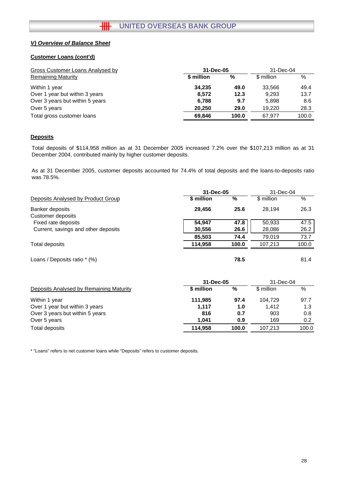# **Customer Loans (cont'd)**

| Gross Customer Loans Analysed by | 31-Dec-05  |       |            | 31-Dec-04 |  |
|----------------------------------|------------|-------|------------|-----------|--|
| <b>Remaining Maturity</b>        | \$ million | %     | \$ million | $\%$      |  |
| Within 1 year                    | 34.235     | 49.0  | 33.566     | 49.4      |  |
| Over 1 year but within 3 years   | 8.572      | 12.3  | 9.293      | 13.7      |  |
| Over 3 years but within 5 years  | 6,788      | 9.7   | 5,898      | 8.6       |  |
| Over 5 years                     | 20.250     | 29.0  | 19.220     | 28.3      |  |
| Total gross customer loans       | 69.846     | 100.0 | 67.977     | 100.0     |  |

# **Deposits**

Total deposits of \$114,958 million as at 31 December 2005 increased 7.2% over the \$107,213 million as at 31 December 2004, contributed mainly by higher customer deposits.

As at 31 December 2005, customer deposits accounted for 74.4% of total deposits and the loans-to-deposits ratio was 78.5%.

|                                      | 31-Dec-05  | 31-Dec-04 |            |       |
|--------------------------------------|------------|-----------|------------|-------|
| Deposits Analysed by Product Group   | \$ million | %         | \$ million | %     |
| Banker deposits<br>Customer deposits | 29.456     | 25.6      | 28.194     | 26.3  |
| Fixed rate deposits                  | 54.947     | 47.8      | 50,933     | 47.5  |
| Current, savings and other deposits  | 30,556     | 26.6      | 28,086     | 26.2  |
|                                      | 85.503     | 74.4      | 79.019     | 73.7  |
| Total deposits                       | 114.958    | 100.0     | 107.213    | 100.0 |
| Loans / Deposits ratio * (%)         |            | 78.5      |            | 81.4  |

|                                         | 31-Dec-05  | 31-Dec-04 |            |       |  |
|-----------------------------------------|------------|-----------|------------|-------|--|
| Deposits Analysed by Remaining Maturity | \$ million | %         | \$ million | %     |  |
| Within 1 year                           | 111.985    | 97.4      | 104.729    | 97.7  |  |
| Over 1 year but within 3 years          | 1.117      | 1.0       | 1.412      | 1.3   |  |
| Over 3 years but within 5 years         | 816        | 0.7       | 903        | 0.8   |  |
| Over 5 years                            | 1.041      | 0.9       | 169        | 0.2   |  |
| Total deposits                          | 114.958    | 100.0     | 107.213    | 100.0 |  |

\* "Loans" refers to net customer loans while "Deposits" refers to customer deposits.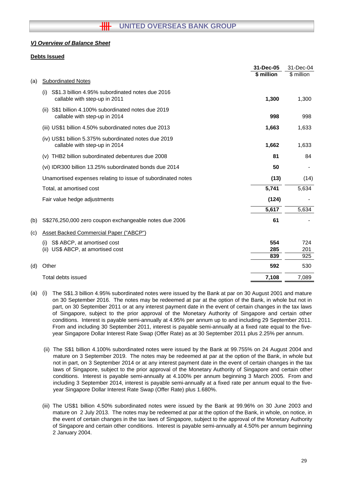### **Debts Issued**

|     |                                                                                          | 31-Dec-05  | 31-Dec-04   |
|-----|------------------------------------------------------------------------------------------|------------|-------------|
|     |                                                                                          | \$ million | $$$ million |
| (a) | <b>Subordinated Notes</b>                                                                |            |             |
|     | S\$1.3 billion 4.95% subordinated notes due 2016<br>(i)<br>callable with step-up in 2011 | 1,300      | 1,300       |
|     | S\$1 billion 4.100% subordinated notes due 2019<br>(ii)<br>callable with step-up in 2014 | 998        | 998         |
|     | (iii) US\$1 billion 4.50% subordinated notes due 2013                                    | 1,663      | 1,633       |
|     | (iv) US\$1 billion 5.375% subordinated notes due 2019<br>callable with step-up in 2014   | 1,662      | 1,633       |
|     | (v) THB2 billion subordinated debentures due 2008                                        | 81         | 84          |
|     | (vi) IDR300 billion 13.25% subordinated bonds due 2014                                   | 50         |             |
|     | Unamortised expenses relating to issue of subordinated notes                             | (13)       | (14)        |
|     | Total, at amortised cost                                                                 | 5,741      | 5,634       |
|     | Fair value hedge adjustments                                                             | (124)      |             |
|     |                                                                                          | 5,617      | 5,634       |
| (b) | S\$276,250,000 zero coupon exchangeable notes due 2006                                   | 61         |             |
| (c) | <b>Asset Backed Commercial Paper ("ABCP")</b>                                            |            |             |
|     | S\$ ABCP, at amortised cost<br>(i)                                                       | 554        | 724         |
|     | US\$ ABCP, at amortised cost<br>(ii)                                                     | 285        | 201         |
|     |                                                                                          | 839        | 925         |
| (d) | Other                                                                                    | 592        | 530         |
|     | Total debts issued                                                                       | 7,108      | 7,089       |
|     |                                                                                          |            |             |

- (a) (i) The S\$1.3 billion 4.95% subordinated notes were issued by the Bank at par on 30 August 2001 and mature on 30 September 2016. The notes may be redeemed at par at the option of the Bank, in whole but not in part, on 30 September 2011 or at any interest payment date in the event of certain changes in the tax laws of Singapore, subject to the prior approval of the Monetary Authority of Singapore and certain other conditions. Interest is payable semi-annually at 4.95% per annum up to and including 29 September 2011. From and including 30 September 2011, interest is payable semi-annually at a fixed rate equal to the fiveyear Singapore Dollar Interest Rate Swap (Offer Rate) as at 30 September 2011 plus 2.25% per annum.
	- (ii) The S\$1 billion 4.100% subordinated notes were issued by the Bank at 99.755% on 24 August 2004 and mature on 3 September 2019. The notes may be redeemed at par at the option of the Bank, in whole but not in part, on 3 September 2014 or at any interest payment date in the event of certain changes in the tax laws of Singapore, subject to the prior approval of the Monetary Authority of Singapore and certain other conditions. Interest is payable semi-annually at 4.100% per annum beginning 3 March 2005. From and including 3 September 2014, interest is payable semi-annually at a fixed rate per annum equal to the fiveyear Singapore Dollar Interest Rate Swap (Offer Rate) plus 1.680%.
	- (iii) The US\$1 billion 4.50% subordinated notes were issued by the Bank at 99.96% on 30 June 2003 and mature on 2 July 2013. The notes may be redeemed at par at the option of the Bank, in whole, on notice, in the event of certain changes in the tax laws of Singapore, subject to the approval of the Monetary Authority of Singapore and certain other conditions. Interest is payable semi-annually at 4.50% per annum beginning 2 January 2004.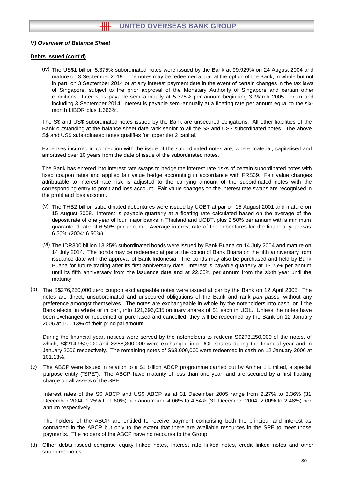#### **Debts Issued (cont'd)**

(iv) The US\$1 billion 5.375% subordinated notes were issued by the Bank at 99.929% on 24 August 2004 and mature on 3 September 2019. The notes may be redeemed at par at the option of the Bank, in whole but not in part, on 3 September 2014 or at any interest payment date in the event of certain changes in the tax laws of Singapore, subject to the prior approval of the Monetary Authority of Singapore and certain other conditions. Interest is payable semi-annually at 5.375% per annum beginning 3 March 2005. From and including 3 September 2014, interest is payable semi-annually at a floating rate per annum equal to the sixmonth LIBOR plus 1.666%.

The S\$ and US\$ subordinated notes issued by the Bank are unsecured obligations. All other liabilities of the Bank outstanding at the balance sheet date rank senior to all the S\$ and US\$ subordinated notes. The above S\$ and US\$ subordinated notes qualifies for upper tier 2 capital.

Expenses incurred in connection with the issue of the subordinated notes are, where material, capitalised and amortised over 10 years from the date of issue of the subordinated notes.

The Bank has entered into interest rate swaps to hedge the interest rate risks of certain subordinated notes with fixed coupon rates and applied fair value hedge accounting in accordance with FRS39. Fair value changes attributable to interest rate risk is adjusted to the carrying amount of the subordinated notes with the corresponding entry to profit and loss account. Fair value changes on the interest rate swaps are recognised in the profit and loss account.

- (v) The THB2 billion subordinated debentures were issued by UOBT at par on 15 August 2001 and mature on 15 August 2008. Interest is payable quarterly at a floating rate calculated based on the average of the deposit rate of one year of four major banks in Thailand and UOBT, plus 2.50% per annum with a minimum guaranteed rate of 6.50% per annum. Average interest rate of the debentures for the financial year was 6.50% (2004: 6.50%).
- (vi) The IDR300 billion 13.25% subordinated bonds were issued by Bank Buana on 14 July 2004 and mature on 14 July 2014. The bonds may be redeemed at par at the option of Bank Buana on the fifth anniversary from issuance date with the approval of Bank Indonesia. The bonds may also be purchased and held by Bank Buana for future trading after its first anniversary date. Interest is payable quarterly at 13.25% per annum until its fifth anniversary from the issuance date and at 22.05% per annum from the sixth year until the maturity.
- (b) The S\$276,250,000 zero coupon exchangeable notes were issued at par by the Bank on 12 April 2005. The notes are direct, unsubordinated and unsecured obligations of the Bank and rank *pari passu* without any preference amongst themselves. The notes are exchangeable in whole by the noteholders into cash, or if the Bank elects, in whole or in part, into 121,696,035 ordinary shares of \$1 each in UOL. Unless the notes have been exchanged or redeemed or purchased and cancelled, they will be redeemed by the Bank on 12 January 2006 at 101.13% of their principal amount.

During the financial year, notices were served by the noteholders to redeem S\$273,250,000 of the notes, of which, S\$214,950,000 and S\$58,300,000 were exchanged into UOL shares during the financial year and in January 2006 respectively. The remaining notes of S\$3,000,000 were redeemed in cash on 12 January 2006 at 101.13%.

(c) The ABCP were issued in relation to a \$1 billion ABCP programme carried out by Archer 1 Limited, a special purpose entity ("SPE"). The ABCP have maturity of less than one year, and are secured by a first floating charge on all assets of the SPE.

Interest rates of the S\$ ABCP and US\$ ABCP as at 31 December 2005 range from 2.27% to 3.36% (31 December 2004: 1.25% to 1.60%) per annum and 4.06% to 4.54% (31 December 2004: 2.00% to 2.48%) per annum respectively.

The holders of the ABCP are entitled to receive payment comprising both the principal and interest as contracted in the ABCP but only to the extent that there are available resources in the SPE to meet those payments. The holders of the ABCP have no recourse to the Group.

(d) Other debts issued comprise equity linked notes, interest rate linked notes, credit linked notes and other structured notes.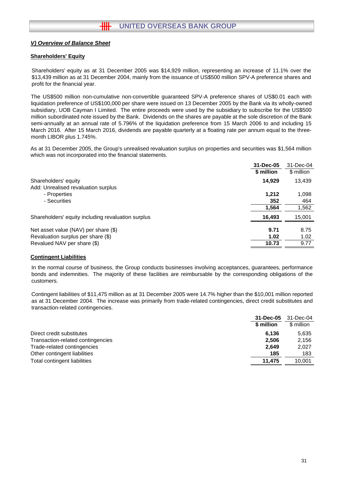## **Shareholders' Equity**

Shareholders' equity as at 31 December 2005 was \$14,929 million, representing an increase of 11.1% over the \$13,439 million as at 31 December 2004, mainly from the issuance of US\$500 million SPV-A preference shares and profit for the financial year.

The US\$500 million non-cumulative non-convertible guaranteed SPV-A preference shares of US\$0.01 each with liquidation preference of US\$100,000 per share were issued on 13 December 2005 by the Bank via its wholly-owned subsidiary, UOB Cayman I Limited. The entire proceeds were used by the subsidiary to subscribe for the US\$500 million subordinated note issued by the Bank. Dividends on the shares are payable at the sole discretion of the Bank semi-annually at an annual rate of 5.796% of the liquidation preference from 15 March 2006 to and including 15 March 2016. After 15 March 2016, dividends are payable quarterly at a floating rate per annum equal to the threemonth LIBOR plus 1.745%.

As at 31 December 2005, the Group's unrealised revaluation surplus on properties and securities was \$1,564 million which was not incorporated into the financial statements.

|                                                    | 31-Dec-05  | 31-Dec-04  |
|----------------------------------------------------|------------|------------|
|                                                    | \$ million | \$ million |
| Shareholders' equity                               | 14.929     | 13,439     |
| Add: Unrealised revaluation surplus                |            |            |
| - Properties                                       | 1,212      | 1,098      |
| - Securities                                       | 352        | 464        |
|                                                    | 1,564      | 1,562      |
| Shareholders' equity including revaluation surplus | 16.493     | 15,001     |
|                                                    |            |            |
| Net asset value (NAV) per share (\$)               | 9.71       | 8.75       |
| Revaluation surplus per share (\$)                 | 1.02       | 1.02       |
| Revalued NAV per share (\$)                        | 10.73      | 9.77       |

#### **Contingent Liabilities**

In the normal course of business, the Group conducts businesses involving acceptances, guarantees, performance bonds and indemnities. The majority of these facilities are reimbursable by the corresponding obligations of the customers.

Contingent liabilities of \$11,475 million as at 31 December 2005 were 14.7% higher than the \$10,001 million reported as at 31 December 2004. The increase was primarily from trade-related contingencies, direct credit substitutes and transaction-related contingencies.

|                                   | 31-Dec-05  | 31-Dec-04  |
|-----------------------------------|------------|------------|
|                                   | \$ million | \$ million |
| Direct credit substitutes         | 6.136      | 5.635      |
| Transaction-related contingencies | 2.506      | 2,156      |
| Trade-related contingencies       | 2.649      | 2.027      |
| Other contingent liabilities      | 185        | 183        |
| Total contingent liabilities      | 11.475     | 10.001     |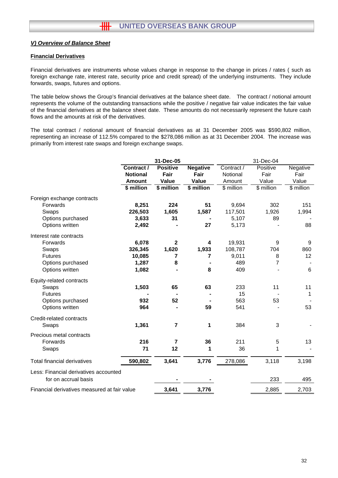#### **Financial Derivatives**

Financial derivatives are instruments whose values change in response to the change in prices / rates ( such as foreign exchange rate, interest rate, security price and credit spread) of the underlying instruments. They include forwards, swaps, futures and options.

The table below shows the Group's financial derivatives at the balance sheet date. The contract / notional amount represents the volume of the outstanding transactions while the positive / negative fair value indicates the fair value of the financial derivatives at the balance sheet date. These amounts do not necessarily represent the future cash flows and the amounts at risk of the derivatives.

The total contract / notional amount of financial derivatives as at 31 December 2005 was \$590,802 million, representing an increase of 112.5% compared to the \$278,086 million as at 31 December 2004. The increase was primarily from interest rate swaps and foreign exchange swaps.

|                                              | 31-Dec-05       |                 |                 | 31-Dec-04  |            |            |  |
|----------------------------------------------|-----------------|-----------------|-----------------|------------|------------|------------|--|
|                                              | Contract /      | <b>Positive</b> | <b>Negative</b> | Contract / | Positive   | Negative   |  |
|                                              | <b>Notional</b> | Fair            | Fair            | Notional   | Fair       | Fair       |  |
|                                              | <b>Amount</b>   | Value           | Value           | Amount     | Value      | Value      |  |
|                                              | \$ million      | \$ million      | \$ million      | \$ million | \$ million | \$ million |  |
| Foreign exchange contracts                   |                 |                 |                 |            |            |            |  |
| Forwards                                     | 8,251           | 224             | 51              | 9,694      | 302        | 151        |  |
| Swaps                                        | 226,503         | 1,605           | 1,587           | 117,501    | 1,926      | 1,994      |  |
| Options purchased                            | 3,633           | 31              |                 | 5,107      | 89         |            |  |
| Options written                              | 2,492           |                 | 27              | 5,173      |            | 88         |  |
| Interest rate contracts                      |                 |                 |                 |            |            |            |  |
| Forwards                                     | 6,078           | $\mathbf{2}$    | 4               | 19,931     | 9          | 9          |  |
| Swaps                                        | 326,345         | 1,620           | 1,933           | 108,787    | 704        | 860        |  |
| <b>Futures</b>                               | 10,085          | 7               | 7               | 9,011      | 8          | 12         |  |
| Options purchased                            | 1,287           | 8               |                 | 489        | 7          |            |  |
| Options written                              | 1,082           |                 | 8               | 409        |            | 6          |  |
| Equity-related contracts                     |                 |                 |                 |            |            |            |  |
| Swaps                                        | 1,503           | 65              | 63              | 233        | 11         | 11         |  |
| <b>Futures</b>                               |                 |                 |                 | 15         |            | 1          |  |
| Options purchased                            | 932             | 52              |                 | 563        | 53         |            |  |
| Options written                              | 964             |                 | 59              | 541        |            | 53         |  |
| Credit-related contracts                     |                 |                 |                 |            |            |            |  |
| Swaps                                        | 1,361           | 7               | 1               | 384        | 3          |            |  |
| Precious metal contracts                     |                 |                 |                 |            |            |            |  |
| Forwards                                     | 216             | 7               | 36              | 211        | 5          | 13         |  |
| Swaps                                        | 71              | 12              | 1               | 36         | 1          |            |  |
| <b>Total financial derivatives</b>           | 590,802         | 3,641           | 3,776           | 278,086    | 3,118      | 3,198      |  |
| Less: Financial derivatives accounted        |                 |                 |                 |            |            |            |  |
| for on accrual basis                         |                 |                 |                 |            | 233        | 495        |  |
| Financial derivatives measured at fair value |                 | 3,641           | 3,776           |            | 2,885      | 2,703      |  |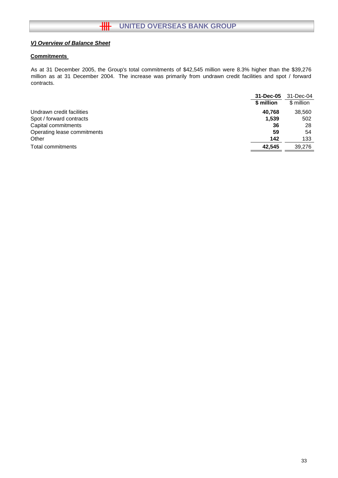# **Commitments**

As at 31 December 2005, the Group's total commitments of \$42,545 million were 8.3% higher than the \$39,276 million as at 31 December 2004. The increase was primarily from undrawn credit facilities and spot / forward contracts.

|                             | 31-Dec-05  | 31-Dec-04  |
|-----------------------------|------------|------------|
|                             | \$ million | \$ million |
| Undrawn credit facilities   | 40.768     | 38,560     |
| Spot / forward contracts    | 1,539      | 502        |
| Capital commitments         | 36         | 28         |
| Operating lease commitments | 59         | 54         |
| Other                       | 142        | 133        |
| Total commitments           | 42.545     | 39.276     |
|                             |            |            |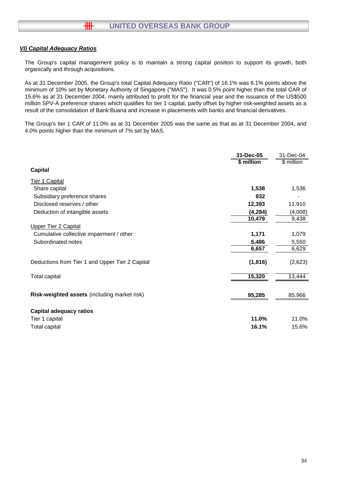# *VI) Capital Adequacy Ratios*

卌

The Group's capital management policy is to maintain a strong capital position to support its growth, both organically and through acquisitions.

As at 31 December 2005, the Group's total Capital Adequacy Ratio ("CAR") of 16.1% was 6.1% points above the minimum of 10% set by Monetary Authority of Singapore ("MAS"). It was 0.5% point higher than the total CAR of 15.6% as at 31 December 2004, mainly attributed to profit for the financial year and the issuance of the US\$500 million SPV-A preference shares which qualifies for tier 1 capital, partly offset by higher risk-weighted assets as a result of the consolidation of Bank Buana and increase in placements with banks and financial derivatives.

The Group's tier 1 CAR of 11.0% as at 31 December 2005 was the same as that as at 31 December 2004, and 4.0% points higher than the minimum of 7% set by MAS.

|                                                 | 31-Dec-05<br>\$ million | 31-Dec-04<br>\$ million |
|-------------------------------------------------|-------------------------|-------------------------|
| <b>Capital</b>                                  |                         |                         |
| Tier 1 Capital                                  |                         |                         |
| Share capital                                   | 1,538                   | 1,536                   |
| Subsidiary preference shares                    | 832                     |                         |
| Disclosed reserves / other                      | 12,393                  | 11,910                  |
| Deduction of intangible assets                  | (4, 284)                | (4,008)                 |
|                                                 | 10,479                  | 9,438                   |
| <b>Upper Tier 2 Capital</b>                     |                         |                         |
| Cumulative collective impairment / other        | 1,171                   | 1,079                   |
| Subordinated notes                              | 5,486                   | 5,550                   |
|                                                 | 6,657                   | 6,629                   |
| Deductions from Tier 1 and Upper Tier 2 Capital | (1, 816)                | (2,623)                 |
| <b>Total capital</b>                            | 15,320                  | 13,444                  |
|                                                 |                         |                         |
| Risk-weighted assets (including market risk)    | 95,285                  | 85,966                  |
| <b>Capital adequacy ratios</b>                  |                         |                         |
| Tier 1 capital                                  | 11.0%                   | 11.0%                   |
| Total capital                                   | 16.1%                   | 15.6%                   |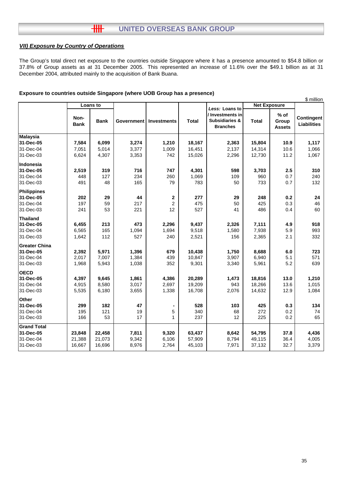#### $H$ **UNITED OVERSEAS BANK GROUP**

# *VII) Exposure by Country of Operations*

The Group's total direct net exposure to the countries outside Singapore where it has a presence amounted to \$54.8 billion or 37.8% of Group assets as at 31 December 2005. This represented an increase of 11.6% over the \$49.1 billion as at 31 December 2004, attributed mainly to the acquisition of Bank Buana.

#### **Exposure to countries outside Singapore (where UOB Group has a presence)**

|                      |                     |             |                   |                         |              |                                                                  | \$ million          |                                  |                                  |
|----------------------|---------------------|-------------|-------------------|-------------------------|--------------|------------------------------------------------------------------|---------------------|----------------------------------|----------------------------------|
|                      |                     | Loans to    |                   |                         |              | Less: Loans to                                                   | <b>Net Exposure</b> |                                  |                                  |
|                      | Non-<br><b>Bank</b> | <b>Bank</b> | <b>Government</b> | Investments             | <b>Total</b> | / Investments in<br><b>Subsidiaries &amp;</b><br><b>Branches</b> | <b>Total</b>        | $%$ of<br>Group<br><b>Assets</b> | Contingent<br><b>Liabilities</b> |
| <b>Malaysia</b>      |                     |             |                   |                         |              |                                                                  |                     |                                  |                                  |
| 31-Dec-05            | 7,584               | 6,099       | 3,274             | 1,210                   | 18,167       | 2,363                                                            | 15,804              | 10.9                             | 1,117                            |
| 31-Dec-04            | 7,051               | 5,014       | 3,377             | 1,009                   | 16,451       | 2,137                                                            | 14,314              | 10.6                             | 1,066                            |
| 31-Dec-03            | 6,624               | 4,307       | 3,353             | 742                     | 15,026       | 2,296                                                            | 12,730              | 11.2                             | 1,067                            |
| Indonesia            |                     |             |                   |                         |              |                                                                  |                     |                                  |                                  |
| 31-Dec-05            | 2,519               | 319         | 716               | 747                     | 4,301        | 598                                                              | 3,703               | 2.5                              | 310                              |
| 31-Dec-04            | 448                 | 127         | 234               | 260                     | 1,069        | 109                                                              | 960                 | 0.7                              | 240                              |
| 31-Dec-03            | 491                 | 48          | 165               | 79                      | 783          | 50                                                               | 733                 | 0.7                              | 132                              |
| <b>Philippines</b>   |                     |             |                   |                         |              |                                                                  |                     |                                  |                                  |
| 31-Dec-05            | 202                 | 29          | 44                | $\bf 2$                 | 277          | 29                                                               | 248                 | 0.2                              | 24                               |
| 31-Dec-04            | 197                 | 59          | 217               | $\overline{\mathbf{c}}$ | 475          | 50                                                               | 425                 | 0.3                              | 46                               |
| 31-Dec-03            | 241                 | 53          | 221               | 12                      | 527          | 41                                                               | 486                 | 0.4                              | 60                               |
| <b>Thailand</b>      |                     |             |                   |                         |              |                                                                  |                     |                                  |                                  |
| 31-Dec-05            | 6,455               | 213         | 473               | 2,296                   | 9,437        | 2,326                                                            | 7,111               | 4.9                              | 918                              |
| 31-Dec-04            | 6,565               | 165         | 1,094             | 1,694                   | 9,518        | 1,580                                                            | 7,938               | 5.9                              | 993                              |
| 31-Dec-03            | 1,642               | 112         | 527               | 240                     | 2,521        | 156                                                              | 2,365               | 2.1                              | 332                              |
| <b>Greater China</b> |                     |             |                   |                         |              |                                                                  |                     |                                  |                                  |
| 31-Dec-05            | 2,392               | 5,971       | 1,396             | 679                     | 10,438       | 1,750                                                            | 8,688               | 6.0                              | 723                              |
| 31-Dec-04            | 2,017               | 7,007       | 1,384             | 439                     | 10,847       | 3,907                                                            | 6,940               | 5.1                              | 571                              |
| 31-Dec-03            | 1,968               | 5,943       | 1,038             | 352                     | 9,301        | 3,340                                                            | 5,961               | 5.2                              | 639                              |
| <b>OECD</b>          |                     |             |                   |                         |              |                                                                  |                     |                                  |                                  |
| 31-Dec-05            | 4,397               | 9,645       | 1,861             | 4,386                   | 20,289       | 1,473                                                            | 18,816              | 13.0                             | 1,210                            |
| 31-Dec-04            | 4,915               | 8,580       | 3,017             | 2,697                   | 19,209       | 943                                                              | 18,266              | 13.6                             | 1,015                            |
| 31-Dec-03            | 5,535               | 6,180       | 3,655             | 1,338                   | 16,708       | 2,076                                                            | 14,632              | 12.9                             | 1,084                            |
| Other                |                     |             |                   |                         |              |                                                                  |                     |                                  |                                  |
| 31-Dec-05            | 299                 | 182         | 47                |                         | 528          | 103                                                              | 425                 | 0.3                              | 134                              |
| 31-Dec-04            | 195                 | 121         | 19                | 5                       | 340          | 68                                                               | 272                 | 0.2                              | 74                               |
| 31-Dec-03            | 166                 | 53          | 17                | $\mathbf{1}$            | 237          | 12                                                               | 225                 | 0.2                              | 65                               |
| <b>Grand Total</b>   |                     |             |                   |                         |              |                                                                  |                     |                                  |                                  |
| 31-Dec-05            | 23,848              | 22,458      | 7,811             | 9,320                   | 63,437       | 8,642                                                            | 54,795              | 37.8                             | 4,436                            |
| 31-Dec-04            | 21,388              | 21,073      | 9,342             | 6,106                   | 57,909       | 8,794                                                            | 49,115              | 36.4                             | 4,005                            |
| 31-Dec-03            | 16,667              | 16,696      | 8,976             | 2,764                   | 45,103       | 7,971                                                            | 37,132              | 32.7                             | 3,379                            |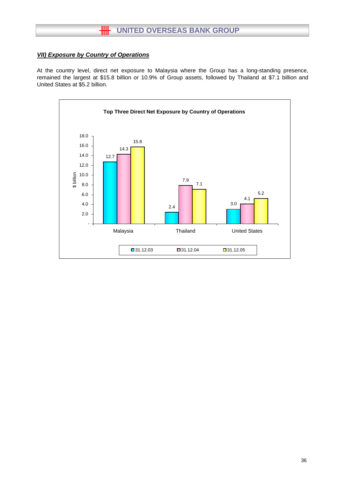# **HH** UNITED OVERSEAS BANK GROUP

# *VII) Exposure by Country of Operations*

At the country level, direct net exposure to Malaysia where the Group has a long-standing presence, remained the largest at \$15.8 billion or 10.9% of Group assets, followed by Thailand at \$7.1 billion and United States at \$5.2 billion.

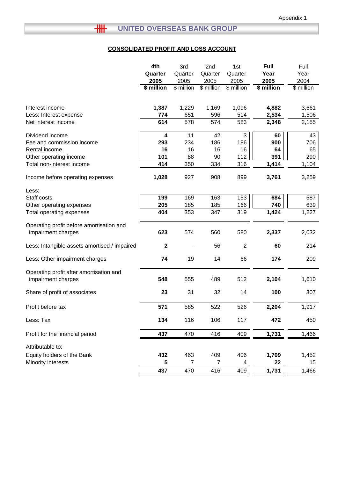# **CONSOLIDATED PROFIT AND LOSS ACCOUNT**

|                                                                | 4th<br>Quarter<br>2005<br>\$ million | 3rd<br>Quarter<br>2005<br>\$ million | 2nd<br>Quarter<br>2005<br>\$ million | 1st<br>Quarter<br>2005<br>\$ million | <b>Full</b><br>Year<br>2005<br>\$ million | Full<br>Year<br>2004<br>\$ million |
|----------------------------------------------------------------|--------------------------------------|--------------------------------------|--------------------------------------|--------------------------------------|-------------------------------------------|------------------------------------|
| Interest income<br>Less: Interest expense                      | 1,387<br>774                         | 1,229<br>651                         | 1,169<br>596                         | 1,096<br>514                         | 4,882<br>2,534                            | 3,661<br>1,506                     |
| Net interest income                                            | 614                                  | 578                                  | 574                                  | 583                                  | 2,348                                     | 2,155                              |
| Dividend income<br>Fee and commission income                   | 4<br>293                             | 11<br>234                            | 42<br>186                            | 3<br>186                             | 60<br>900                                 | 43<br>706                          |
| Rental income                                                  | 16                                   | 16                                   | 16                                   | 16                                   | 64                                        | 65                                 |
| Other operating income<br>Total non-interest income            | 101<br>414                           | 88<br>350                            | 90<br>334                            | 112<br>316                           | 391<br>1,414                              | 290<br>1,104                       |
| Income before operating expenses                               | 1,028                                | 927                                  | 908                                  | 899                                  | 3,761                                     | 3,259                              |
| Less:<br>Staff costs                                           | 199                                  | 169                                  | 163                                  | 153                                  | 684                                       | 587                                |
| Other operating expenses<br>Total operating expenses           | 205<br>404                           | 185<br>353                           | 185<br>347                           | 166<br>319                           | 740<br>1,424                              | 639<br>1,227                       |
| Operating profit before amortisation and<br>impairment charges | 623                                  | 574                                  | 560                                  | 580                                  | 2,337                                     | 2,032                              |
| Less: Intangible assets amortised / impaired                   | $\mathbf 2$                          |                                      | 56                                   | 2                                    | 60                                        | 214                                |
| Less: Other impairment charges                                 | 74                                   | 19                                   | 14                                   | 66                                   | 174                                       | 209                                |
| Operating profit after amortisation and<br>impairment charges  | 548                                  | 555                                  | 489                                  | 512                                  | 2,104                                     | 1,610                              |
| Share of profit of associates                                  | 23                                   | 31                                   | 32                                   | 14                                   | 100                                       | 307                                |
| Profit before tax                                              | 571                                  | 585                                  | 522                                  | 526                                  | 2,204                                     | 1,917                              |
| Less: Tax                                                      | 134                                  | 116                                  | 106                                  | 117                                  | 472                                       | 450                                |
| Profit for the financial period                                | 437                                  | 470                                  | 416                                  | 409                                  | 1,731                                     | 1,466                              |
| Attributable to:                                               |                                      |                                      |                                      |                                      |                                           |                                    |
| Equity holders of the Bank<br>Minority interests               | 432                                  | 463<br>$\overline{7}$                | 409<br>$\overline{7}$                | 406                                  | 1,709                                     | 1,452                              |
|                                                                | 5<br>437                             | 470                                  | 416                                  | 4<br>409                             | 22<br>1,731                               | 15<br>1,466                        |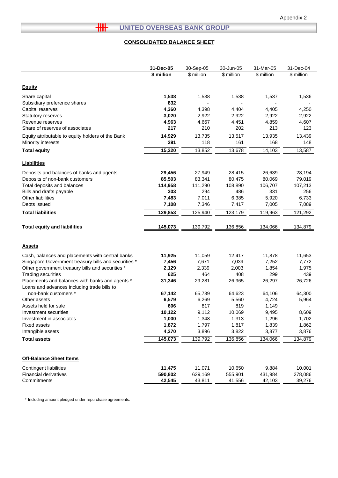# **THE UNITED OVERSEAS BANK GROUP**

# **CONSOLIDATED BALANCE SHEET**

|                                                                                                | 31-Dec-05  | 30-Sep-05  | 30-Jun-05  | 31-Mar-05  | 31-Dec-04  |
|------------------------------------------------------------------------------------------------|------------|------------|------------|------------|------------|
|                                                                                                | \$ million | \$ million | \$ million | \$ million | \$ million |
| <b>Equity</b>                                                                                  |            |            |            |            |            |
| Share capital                                                                                  | 1,538      | 1,538      | 1,538      | 1,537      | 1,536      |
| Subsidiary preference shares                                                                   | 832        |            |            |            |            |
| Capital reserves                                                                               | 4,360      | 4,398      | 4,404      | 4,405      | 4,250      |
| Statutory reserves                                                                             | 3,020      | 2,922      | 2,922      | 2,922      | 2,922      |
| Revenue reserves                                                                               | 4,963      | 4,667      | 4,451      | 4,859      | 4,607      |
| Share of reserves of associates                                                                | 217        | 210        | 202        | 213        | 123        |
| Equity attributable to equity holders of the Bank                                              | 14,929     | 13,735     | 13,517     | 13,935     | 13,439     |
| Minority interests                                                                             | 291        | 118        | 161        | 168        | 148        |
| <b>Total equity</b>                                                                            | 15,220     | 13,852     | 13,678     | 14,103     | 13,587     |
| <b>Liabilities</b>                                                                             |            |            |            |            |            |
| Deposits and balances of banks and agents                                                      | 29,456     | 27,949     | 28,415     | 26,639     | 28,194     |
| Deposits of non-bank customers                                                                 | 85,503     | 83,341     | 80,475     | 80,069     | 79,019     |
| Total deposits and balances                                                                    | 114,958    | 111,290    | 108,890    | 106,707    | 107,213    |
| Bills and drafts payable                                                                       | 303        | 294        | 486        | 331        | 256        |
| Other liabilities                                                                              | 7,483      | 7,011      | 6,385      | 5,920      | 6,733      |
| Debts issued                                                                                   | 7,108      | 7,346      | 7,417      | 7,005      | 7,089      |
| <b>Total liabilities</b>                                                                       | 129,853    | 125,940    | 123,179    | 119,963    | 121,292    |
| <b>Total equity and liabilities</b>                                                            | 145,073    | 139,792    | 136,856    | 134,066    | 134,879    |
|                                                                                                |            |            |            |            |            |
| <b>Assets</b>                                                                                  |            |            |            |            |            |
| Cash, balances and placements with central banks                                               | 11,925     | 11,059     | 12,417     | 11,878     | 11,653     |
| Singapore Government treasury bills and securities *                                           | 7,456      | 7,671      | 7,039      | 7,252      | 7,772      |
| Other government treasury bills and securities *                                               | 2,129      | 2,339      | 2,003      | 1,854      | 1,975      |
| <b>Trading securities</b>                                                                      | 625        | 464        | 408        | 299        | 439        |
| Placements and balances with banks and agents *<br>Loans and advances including trade bills to | 31,346     | 29,281     | 26,965     | 26,297     | 26,726     |
| non-bank customers *                                                                           | 67,142     | 65,739     | 64,623     | 64,106     | 64,300     |
| Other assets                                                                                   | 6,579      | 6,269      | 5,560      | 4,724      | 5,964      |
| Assets held for sale                                                                           | 606        | 817        | 819        | 1,149      |            |
| Investment securities                                                                          | 10,122     | 9,112      | 10,069     | 9,495      | 8,609      |
| Investment in associates                                                                       | 1,000      | 1,348      | 1,313      | 1,296      | 1,702      |
| Fixed assets                                                                                   | 1,872      | 1,797      | 1,817      | 1,839      | 1,862      |
| Intangible assets                                                                              | 4,270      | 3,896      | 3,822      | 3,877      | 3,876      |
| <b>Total assets</b>                                                                            | 145,073    | 139,792    | 136,856    | 134,066    | 134,879    |
| <b>Off-Balance Sheet Items</b>                                                                 |            |            |            |            |            |
| Contingent liabilities                                                                         | 11,475     | 11,071     | 10,650     | 9,884      | 10,001     |
| <b>Financial derivatives</b>                                                                   | 590,802    | 629,169    | 555,901    | 431,984    | 278,086    |
| Commitments                                                                                    | 42,545     | 43,811     | 41,556     | 42,103     | 39,276     |
|                                                                                                |            |            |            |            |            |

\* Including amount pledged under repurchase agreements.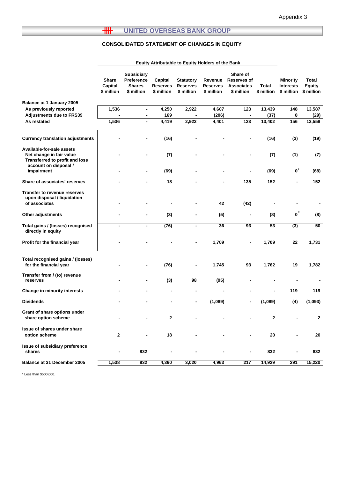# **THE UNITED OVERSEAS BANK GROUP**

# **CONSOLIDATED STATEMENT OF CHANGES IN EQUITY**

|                                                                                         | <b>Equity Attributable to Equity Holders of the Bank</b> |                                                  |                            |                                     |                            |                                              |              |                              |                 |
|-----------------------------------------------------------------------------------------|----------------------------------------------------------|--------------------------------------------------|----------------------------|-------------------------------------|----------------------------|----------------------------------------------|--------------|------------------------------|-----------------|
|                                                                                         | <b>Share</b><br>Capital                                  | <b>Subsidiary</b><br>Preference<br><b>Shares</b> | Capital<br><b>Reserves</b> | <b>Statutory</b><br><b>Reserves</b> | Revenue<br><b>Reserves</b> | Share of<br>Reserves of<br><b>Associates</b> | Total        | <b>Minority</b><br>Interests | Total<br>Equity |
|                                                                                         | \$ million                                               | \$ million                                       | \$ million                 | \$ million                          | \$ million                 | \$ million                                   | \$ million   | \$ million                   | $$$ million     |
| Balance at 1 January 2005                                                               |                                                          |                                                  |                            |                                     |                            |                                              |              |                              |                 |
| As previously reported                                                                  | 1,536                                                    | $\overline{\phantom{0}}$                         | 4,250                      | 2,922                               | 4,607                      | 123                                          | 13,439       | 148                          | 13,587          |
| <b>Adjustments due to FRS39</b>                                                         |                                                          |                                                  | 169                        |                                     | (206)                      |                                              | (37)         | 8                            | (29)            |
| As restated                                                                             | 1,536                                                    | L.                                               | 4,419                      | 2,922                               | 4,401                      | 123                                          | 13,402       | 156                          | 13,558          |
| <b>Currency translation adjustments</b>                                                 |                                                          |                                                  | (16)                       |                                     |                            |                                              | (16)         | (3)                          | (19)            |
| Available-for-sale assets<br>Net change in fair value<br>Transferred to profit and loss |                                                          |                                                  | (7)                        |                                     |                            |                                              | (7)          | (1)                          | (7)             |
| account on disposal /<br>impairment                                                     |                                                          |                                                  | (69)                       |                                     |                            |                                              | (69)         | $\mathbf{0}^*$               | (68)            |
| Share of associates' reserves                                                           |                                                          |                                                  | 18                         |                                     |                            | 135                                          | 152          |                              | 152             |
| <b>Transfer to revenue reserves</b><br>upon disposal / liquidation<br>of associates     |                                                          |                                                  |                            |                                     | 42                         | (42)                                         |              |                              | ٠               |
| Other adjustments                                                                       |                                                          |                                                  | (3)                        |                                     | (5)                        |                                              | (8)          | $\boldsymbol{0}^*$           | (8)             |
|                                                                                         |                                                          |                                                  |                            |                                     |                            |                                              |              |                              |                 |
| Total gains / (losses) recognised<br>directly in equity                                 | $\blacksquare$                                           | $\blacksquare$                                   | (76)                       | $\blacksquare$                      | 36                         | 93                                           | 53           | $\overline{3}$               | 50              |
| Profit for the financial year                                                           |                                                          |                                                  |                            |                                     | 1,709                      |                                              | 1,709        | 22                           | 1,731           |
| Total recognised gains / (losses)<br>for the financial year                             |                                                          |                                                  | (76)                       |                                     | 1,745                      | 93                                           | 1,762        | 19                           | 1,782           |
| Transfer from / (to) revenue<br>reserves                                                |                                                          | $\overline{\phantom{0}}$                         | (3)                        | 98                                  | (95)                       |                                              |              |                              |                 |
| Change in minority interests                                                            |                                                          |                                                  |                            | $\blacksquare$                      | $\blacksquare$             |                                              |              | 119                          | 119             |
| <b>Dividends</b>                                                                        |                                                          |                                                  |                            |                                     | (1,089)                    |                                              | (1,089)      | (4)                          | (1,093)         |
| Grant of share options under<br>share option scheme                                     | $\overline{\phantom{a}}$                                 |                                                  | 2                          |                                     |                            |                                              | $\mathbf{2}$ |                              | 2               |
| Issue of shares under share<br>option scheme                                            | 2                                                        | $\blacksquare$                                   | 18                         |                                     |                            |                                              | 20           |                              | 20              |
| Issue of subsidiary preference<br>shares                                                | -                                                        | 832                                              |                            |                                     |                            |                                              | 832          |                              | 832             |
| Balance at 31 December 2005                                                             | 1,538                                                    | 832                                              | 4,360                      | 3,020                               | 4,963                      | 217                                          | 14,929       | 291                          | 15,220          |
|                                                                                         |                                                          |                                                  |                            |                                     |                            |                                              |              |                              |                 |

\* Less than \$500,000.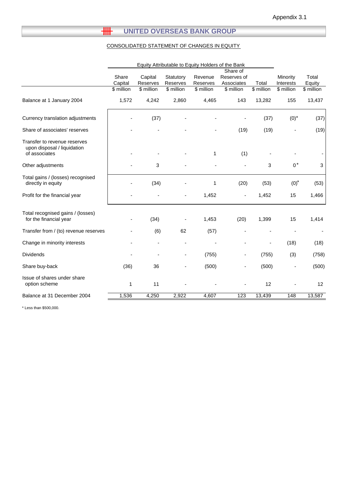# **HH UNITED OVERSEAS BANK GROUP**

# CONSOLIDATED STATEMENT OF CHANGES IN EQUITY

|                                                                              | Equity Attributable to Equity Holders of the Bank |                                   |                                     |                                   |                                                      |                     |                                             |                               |
|------------------------------------------------------------------------------|---------------------------------------------------|-----------------------------------|-------------------------------------|-----------------------------------|------------------------------------------------------|---------------------|---------------------------------------------|-------------------------------|
|                                                                              | Share<br>Capital<br>\$ million                    | Capital<br>Reserves<br>\$ million | Statutory<br>Reserves<br>\$ million | Revenue<br>Reserves<br>\$ million | Share of<br>Reserves of<br>Associates<br>$$$ million | Total<br>\$ million | Minority<br>Interests<br>$\sqrt{\$$ million | Total<br>Equity<br>\$ million |
| Balance at 1 January 2004                                                    | 1,572                                             | 4,242                             | 2,860                               | 4,465                             | 143                                                  | 13,282              | 155                                         | 13,437                        |
| Currency translation adjustments                                             |                                                   | (37)                              |                                     |                                   |                                                      | (37)                | $(0)^{*}$                                   | (37)                          |
| Share of associates' reserves                                                |                                                   |                                   |                                     |                                   | (19)                                                 | (19)                |                                             | (19)                          |
| Transfer to revenue reserves<br>upon disposal / liquidation<br>of associates |                                                   |                                   |                                     | $\mathbf{1}$                      | (1)                                                  |                     |                                             |                               |
| Other adjustments                                                            |                                                   | 3                                 |                                     |                                   |                                                      | 3                   | $0^*$                                       | 3                             |
| Total gains / (losses) recognised<br>directly in equity                      |                                                   | (34)                              |                                     | 1                                 | (20)                                                 | (53)                | $(0)*$                                      | (53)                          |
| Profit for the financial year                                                |                                                   |                                   |                                     | 1,452                             |                                                      | 1,452               | 15                                          | 1,466                         |
| Total recognised gains / (losses)<br>for the financial year                  |                                                   | (34)                              |                                     | 1,453                             | (20)                                                 | 1,399               | 15                                          | 1,414                         |
| Transfer from / (to) revenue reserves                                        |                                                   | (6)                               | 62                                  | (57)                              |                                                      |                     |                                             |                               |
| Change in minority interests                                                 |                                                   |                                   |                                     |                                   |                                                      |                     | (18)                                        | (18)                          |
| <b>Dividends</b>                                                             |                                                   |                                   | $\blacksquare$                      | (755)                             |                                                      | (755)               | (3)                                         | (758)                         |
| Share buy-back                                                               | (36)                                              | 36                                | $\overline{\phantom{a}}$            | (500)                             |                                                      | (500)               |                                             | (500)                         |
| Issue of shares under share<br>option scheme                                 | $\mathbf{1}$                                      | 11                                |                                     |                                   |                                                      | 12                  |                                             | 12                            |
| Balance at 31 December 2004                                                  | 1,536                                             | 4,250                             | 2,922                               | 4,607                             | 123                                                  | 13,439              | 148                                         | 13,587                        |

\* Less than \$500,000.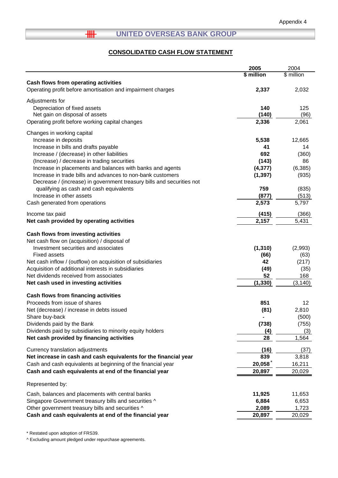#### $H$ **UNITED OVERSEAS BANK GROUP**

# **CONSOLIDATED CASH FLOW STATEMENT**

|                                                                                   | 2005           | 2004          |
|-----------------------------------------------------------------------------------|----------------|---------------|
|                                                                                   | \$ million     | \$ million    |
| Cash flows from operating activities                                              |                |               |
| Operating profit before amortisation and impairment charges                       | 2,337          | 2,032         |
|                                                                                   |                |               |
| Adjustments for                                                                   |                |               |
| Depreciation of fixed assets                                                      | 140            | 125           |
| Net gain on disposal of assets<br>Operating profit before working capital changes | (140)<br>2,336 | (96)<br>2,061 |
|                                                                                   |                |               |
| Changes in working capital                                                        |                |               |
| Increase in deposits                                                              | 5,538          | 12,665        |
| Increase in bills and drafts payable                                              | 41             | 14            |
| Increase / (decrease) in other liabilities                                        | 692            | (360)         |
| (Increase) / decrease in trading securities                                       | (143)          | 86            |
| Increase in placements and balances with banks and agents                         | (4, 377)       | (6, 385)      |
| Increase in trade bills and advances to non-bank customers                        | (1, 397)       | (935)         |
| Decrease / (increase) in government treasury bills and securities not             |                |               |
| qualifying as cash and cash equivalents                                           | 759            | (835)         |
| Increase in other assets                                                          | (877)          | (513)         |
| Cash generated from operations                                                    | 2,573          | 5,797         |
| Income tax paid                                                                   | (415)          | (366)         |
| Net cash provided by operating activities                                         | 2,157          | 5,431         |
|                                                                                   |                |               |
| Cash flows from investing activities                                              |                |               |
| Net cash flow on (acquisition) / disposal of                                      |                |               |
| Investment securities and associates                                              | (1, 310)       | (2,993)       |
| <b>Fixed assets</b>                                                               | (66)           | (63)          |
| Net cash inflow / (outflow) on acquisition of subsidiaries                        | 42             | (217)         |
| Acquisition of additional interests in subsidiaries                               | (49)           | (35)          |
| Net dividends received from associates                                            | 52             | 168           |
| Net cash used in investing activities                                             | (1, 330)       | (3, 140)      |
| Cash flows from financing activities                                              |                |               |
| Proceeds from issue of shares                                                     | 851            | 12            |
| Net (decrease) / increase in debts issued                                         | (81)           | 2,810         |
| Share buy-back                                                                    |                | (500)         |
| Dividends paid by the Bank                                                        | (738)          | (755)         |
| Dividends paid by subsidiaries to minority equity holders                         | (4)            | (3)           |
| Net cash provided by financing activities                                         | 28             | 1,564         |
|                                                                                   |                |               |
| Currency translation adjustments                                                  | (16)           | (37)          |
| Net increase in cash and cash equivalents for the financial year                  | 839            | 3,818         |
| Cash and cash equivalents at beginning of the financial year                      | 20,058         | 16,211        |
| Cash and cash equivalents at end of the financial year                            | 20,897         | 20,029        |
| Represented by:                                                                   |                |               |
| Cash, balances and placements with central banks                                  | 11,925         | 11,653        |
| Singapore Government treasury bills and securities ^                              | 6,884          | 6,653         |
| Other government treasury bills and securities ^                                  | 2,089          | 1,723         |
| Cash and cash equivalents at end of the financial year                            | 20,897         | 20,029        |
|                                                                                   |                |               |

\* Restated upon adoption of FRS39.

^ Excluding amount pledged under repurchase agreements.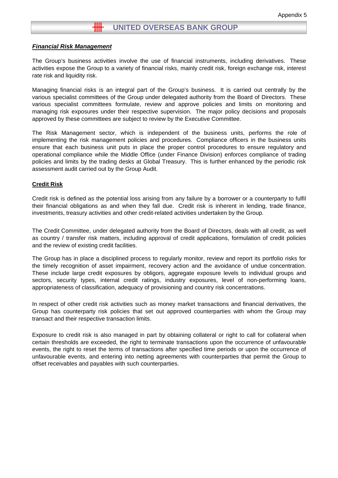## *Financial Risk Management*

The Group's business activities involve the use of financial instruments, including derivatives. These activities expose the Group to a variety of financial risks, mainly credit risk, foreign exchange risk, interest rate risk and liquidity risk.

Managing financial risks is an integral part of the Group's business. It is carried out centrally by the various specialist committees of the Group under delegated authority from the Board of Directors. These various specialist committees formulate, review and approve policies and limits on monitoring and managing risk exposures under their respective supervision. The major policy decisions and proposals approved by these committees are subject to review by the Executive Committee.

The Risk Management sector, which is independent of the business units, performs the role of implementing the risk management policies and procedures. Compliance officers in the business units ensure that each business unit puts in place the proper control procedures to ensure regulatory and operational compliance while the Middle Office (under Finance Division) enforces compliance of trading policies and limits by the trading desks at Global Treasury. This is further enhanced by the periodic risk assessment audit carried out by the Group Audit.

#### **Credit Risk**

Credit risk is defined as the potential loss arising from any failure by a borrower or a counterparty to fulfil their financial obligations as and when they fall due. Credit risk is inherent in lending, trade finance, investments, treasury activities and other credit-related activities undertaken by the Group.

The Credit Committee, under delegated authority from the Board of Directors, deals with all credit, as well as country / transfer risk matters, including approval of credit applications, formulation of credit policies and the review of existing credit facilities.

The Group has in place a disciplined process to regularly monitor, review and report its portfolio risks for the timely recognition of asset impairment, recovery action and the avoidance of undue concentration. These include large credit exposures by obligors, aggregate exposure levels to individual groups and sectors, security types, internal credit ratings, industry exposures, level of non-performing loans, appropriateness of classification, adequacy of provisioning and country risk concentrations.

In respect of other credit risk activities such as money market transactions and financial derivatives, the Group has counterparty risk policies that set out approved counterparties with whom the Group may transact and their respective transaction limits.

Exposure to credit risk is also managed in part by obtaining collateral or right to call for collateral when certain thresholds are exceeded, the right to terminate transactions upon the occurrence of unfavourable events, the right to reset the terms of transactions after specified time periods or upon the occurrence of unfavourable events, and entering into netting agreements with counterparties that permit the Group to offset receivables and payables with such counterparties.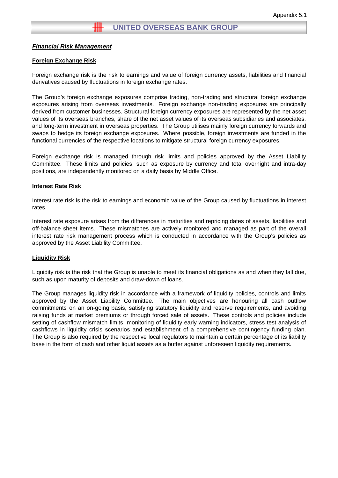# *Financial Risk Management*

#### **Foreign Exchange Risk**

Foreign exchange risk is the risk to earnings and value of foreign currency assets, liabilities and financial derivatives caused by fluctuations in foreign exchange rates.

The Group's foreign exchange exposures comprise trading, non-trading and structural foreign exchange exposures arising from overseas investments. Foreign exchange non-trading exposures are principally derived from customer businesses. Structural foreign currency exposures are represented by the net asset values of its overseas branches, share of the net asset values of its overseas subsidiaries and associates, and long-term investment in overseas properties. The Group utilises mainly foreign currency forwards and swaps to hedge its foreign exchange exposures. Where possible, foreign investments are funded in the functional currencies of the respective locations to mitigate structural foreign currency exposures.

Foreign exchange risk is managed through risk limits and policies approved by the Asset Liability Committee. These limits and policies, such as exposure by currency and total overnight and intra-day positions, are independently monitored on a daily basis by Middle Office.

#### **Interest Rate Risk**

Interest rate risk is the risk to earnings and economic value of the Group caused by fluctuations in interest rates.

Interest rate exposure arises from the differences in maturities and repricing dates of assets, liabilities and off-balance sheet items. These mismatches are actively monitored and managed as part of the overall interest rate risk management process which is conducted in accordance with the Group's policies as approved by the Asset Liability Committee.

## **Liquidity Risk**

Liquidity risk is the risk that the Group is unable to meet its financial obligations as and when they fall due, such as upon maturity of deposits and draw-down of loans.

The Group manages liquidity risk in accordance with a framework of liquidity policies, controls and limits approved by the Asset Liability Committee. The main objectives are honouring all cash outflow commitments on an on-going basis, satisfying statutory liquidity and reserve requirements, and avoiding raising funds at market premiums or through forced sale of assets. These controls and policies include setting of cashflow mismatch limits, monitoring of liquidity early warning indicators, stress test analysis of cashflows in liquidity crisis scenarios and establishment of a comprehensive contingency funding plan. The Group is also required by the respective local regulators to maintain a certain percentage of its liability base in the form of cash and other liquid assets as a buffer against unforeseen liquidity requirements.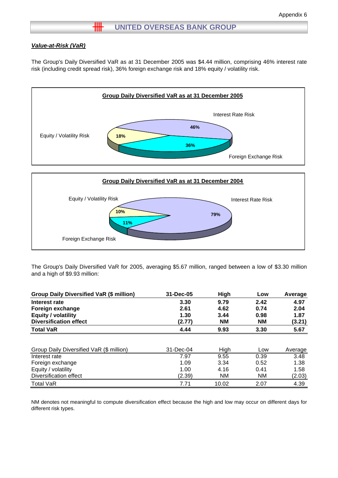# **HH** UNITED OVERSEAS BANK GROUP

#### *Value-at-Risk (VaR)*

The Group's Daily Diversified VaR as at 31 December 2005 was \$4.44 million, comprising 46% interest rate risk (including credit spread risk), 36% foreign exchange risk and 18% equity / volatility risk.





The Group's Daily Diversified VaR for 2005, averaging \$5.67 million, ranged between a low of \$3.30 million and a high of \$9.93 million:

| <b>Group Daily Diversified VaR (\$ million)</b> | 31-Dec-05 | High      | Low       | Average |
|-------------------------------------------------|-----------|-----------|-----------|---------|
| Interest rate                                   | 3.30      | 9.79      | 2.42      | 4.97    |
| Foreign exchange                                | 2.61      | 4.62      | 0.74      | 2.04    |
| <b>Equity / volatility</b>                      | 1.30      | 3.44      | 0.98      | 1.87    |
| <b>Diversification effect</b>                   | (2.77)    | <b>NM</b> | <b>NM</b> | (3.21)  |
| <b>Total VaR</b>                                | 4.44      | 9.93      | 3.30      | 5.67    |
|                                                 |           |           |           |         |
| Group Daily Diversified VaR (\$ million)        | 31-Dec-04 | High      | Low       | Average |
| Interest rate                                   | 7.97      | 9.55      | 0.39      | 3.48    |
| Foreign exchange                                | 1.09      | 3.34      | 0.52      | 1.38    |
| Equity / volatility                             | 1.00      | 4.16      | 0.41      | 1.58    |
| Diversification effect                          | (2.39)    | <b>NM</b> | <b>NM</b> | (2.03)  |
| <b>Total VaR</b>                                | 7.71      | 10.02     | 2.07      | 4.39    |

NM denotes not meaningful to compute diversification effect because the high and low may occur on different days for different risk types.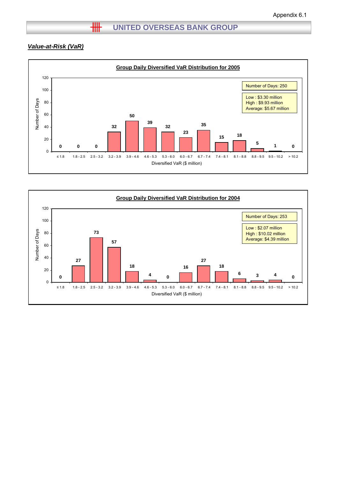# *Value-at-Risk (VaR)*